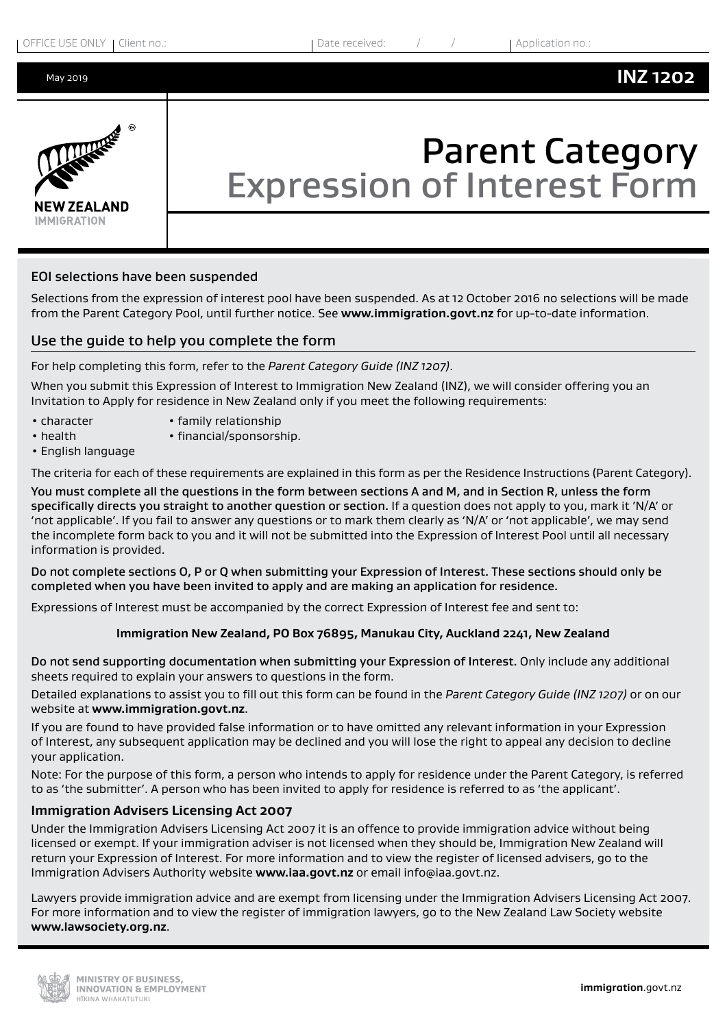

# Parent Category Expression of Interest Form

## EOI selections have been suspended

Selections from the expression of interest pool have been suspended. As at 12 October 2016 no selections will be made from the Parent Category Pool, until further notice. See **www.immigration.govt.nz** for up-to-date information.

# Use the guide to help you complete the form

For help completing this form, refer to the *Parent Category Guide (INZ 1207)*.

When you submit this Expression of Interest to Immigration New Zealand (INZ), we will consider offering you an Invitation to Apply for residence in New Zealand only if you meet the following requirements:

- 
- character family relationship • health • financial/sponsorship.
- English language

The criteria for each of these requirements are explained in this form as per the Residence Instructions (Parent Category).

You must complete all the questions in the form between sections A and M, and in Section R, unless the form specifically directs you straight to another question or section. If a question does not apply to you, mark it 'N/A' or 'not applicable'. If you fail to answer any questions or to mark them clearly as 'N/A' or 'not applicable', we may send the incomplete form back to you and it will not be submitted into the Expression of Interest Pool until all necessary information is provided.

Do not complete sections O, P or Q when submitting your Expression of Interest. These sections should only be completed when you have been invited to apply and are making an application for residence.

Expressions of Interest must be accompanied by the correct Expression of Interest fee and sent to:

## **Immigration New Zealand, PO Box 76895, Manukau City, Auckland 2241, New Zealand**

Do not send supporting documentation when submitting your Expression of Interest. Only include any additional sheets required to explain your answers to questions in the form.

Detailed explanations to assist you to fill out this form can be found in the *Parent Category Guide (INZ 1207)* or on our website at **www.immigration.govt.nz**.

If you are found to have provided false information or to have omitted any relevant information in your Expression of Interest, any subsequent application may be declined and you will lose the right to appeal any decision to decline your application.

Note: For the purpose of this form, a person who intends to apply for residence under the Parent Category, is referred to as 'the submitter'. A person who has been invited to apply for residence is referred to as 'the applicant'.

## **Immigration Advisers Licensing Act 2007**

Under the Immigration Advisers Licensing Act 2007 it is an offence to provide immigration advice without being licensed or exempt. If your immigration adviser is not licensed when they should be, Immigration New Zealand will return your Expression of Interest. For more information and to view the register of licensed advisers, go to the Immigration Advisers Authority website **www.iaa.govt.nz** or email info@iaa.govt.nz.

Lawyers provide immigration advice and are exempt from licensing under the Immigration Advisers Licensing Act 2007. For more information and to view the register of immigration lawyers, go to the New Zealand Law Society website **www.lawsociety.org.nz**.

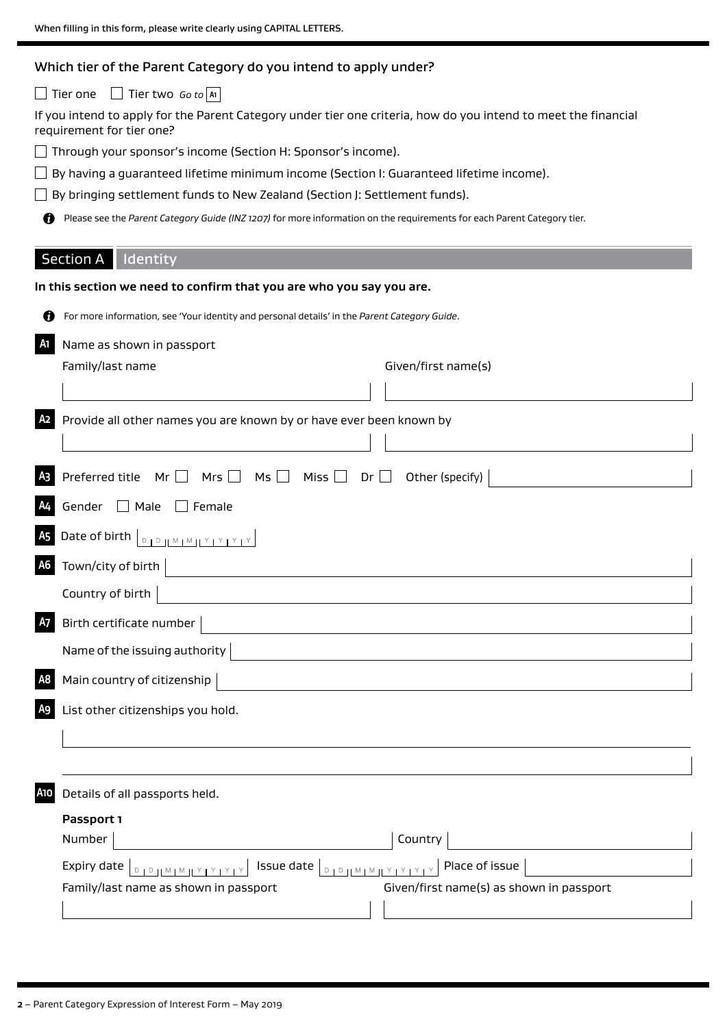# Which tier of the Parent Category do you intend to apply under?

Tier one Tier two *Go to* **A1**

If you intend to apply for the Parent Category under tier one criteria, how do you intend to meet the financial requirement for tier one?

Through your sponsor's income (Section H: Sponsor's income).

 $\square$  By having a guaranteed lifetime minimum income (Section I: Guaranteed lifetime income).

□ By bringing settlement funds to New Zealand (Section J: Settlement funds).

Please see the *Parent Category Guide (INZ 1207)* for more information on the requirements for each Parent Category tier.

# Section A | Identity

|                | Section A   Identity                                                                                                                                            |
|----------------|-----------------------------------------------------------------------------------------------------------------------------------------------------------------|
|                | In this section we need to confirm that you are who you say you are.                                                                                            |
| Ø              | For more information, see 'Your identity and personal details' in the Parent Category Guide.                                                                    |
| <b>A</b> 1     | Name as shown in passport                                                                                                                                       |
|                | Family/last name<br>Given/first name(s)                                                                                                                         |
|                |                                                                                                                                                                 |
| A <sub>2</sub> | Provide all other names you are known by or have ever been known by                                                                                             |
|                |                                                                                                                                                                 |
| A <sub>3</sub> | Preferred title<br>Mr $\Box$ Mrs $\Box$<br>Other (specify)<br>Ms $\Box$<br>Miss $\square$<br>$Dr$ $\Box$                                                        |
| A <sub>4</sub> | Gender $\Box$ Male<br>$\Box$ Female                                                                                                                             |
| <b>A5</b>      | Date of birth $\boxed{\text{max}$ $\frac{1}{2}$ $\frac{1}{2}$ $\frac{1}{2}$ $\frac{1}{2}$ $\frac{1}{2}$ $\frac{1}{2}$ $\frac{1}{2}$ $\frac{1}{2}$ $\frac{1}{2}$ |
| <b>A6</b>      | Town/city of birth                                                                                                                                              |
|                | Country of birth                                                                                                                                                |
| A7             | Birth certificate number                                                                                                                                        |
|                | Name of the issuing authority                                                                                                                                   |
| A <sub>8</sub> | Main country of citizenship                                                                                                                                     |
| A <sub>9</sub> | List other citizenships you hold.                                                                                                                               |
|                |                                                                                                                                                                 |
|                |                                                                                                                                                                 |
| A10            | Details of all passports held.                                                                                                                                  |
|                | Passport 1                                                                                                                                                      |
|                | Country<br>Number                                                                                                                                               |
|                | Issue date   DIDJLMIMJLYTYTYT<br>Place of issue<br>Expiry date<br>$1^D 1! M 1^M 1! Y 1 Y 1 Y 1$                                                                 |
|                | Given/first name(s) as shown in passport<br>Family/last name as shown in passport                                                                               |
|                |                                                                                                                                                                 |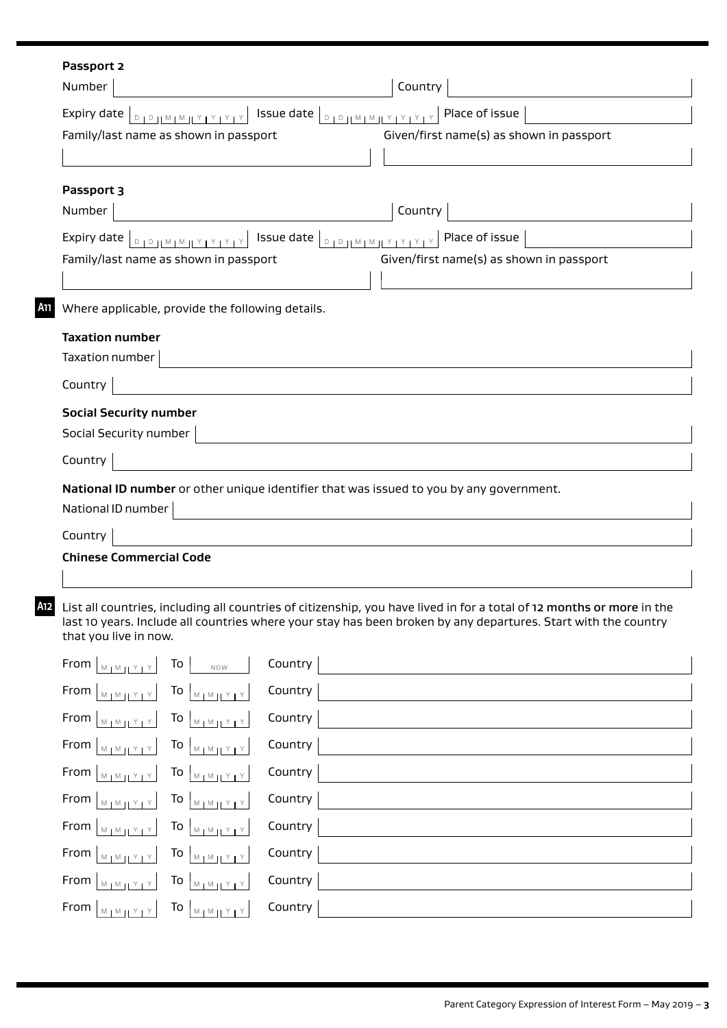|     | Passport 2                                                                                                                                                                     |                                                                                                                                                                                                                                         |
|-----|--------------------------------------------------------------------------------------------------------------------------------------------------------------------------------|-----------------------------------------------------------------------------------------------------------------------------------------------------------------------------------------------------------------------------------------|
|     | Number                                                                                                                                                                         | Country                                                                                                                                                                                                                                 |
|     | Expiry date $ _{\mathbb{D}_1 \mathbb{D}_1 \mathbb{N}_1 \mathbb{N}_1 \mathbb{N}_2 \mathbb{N}_2 \mathbb{N}_1 \mathbb{N}_1}$                                                      | <b>DID HMIMHYIYIYIYIY</b> Place of issue<br>Issue date                                                                                                                                                                                  |
|     | Family/last name as shown in passport                                                                                                                                          | Given/first name(s) as shown in passport                                                                                                                                                                                                |
|     |                                                                                                                                                                                |                                                                                                                                                                                                                                         |
|     | Passport 3                                                                                                                                                                     |                                                                                                                                                                                                                                         |
|     | Number                                                                                                                                                                         | Country                                                                                                                                                                                                                                 |
|     | Expiry date $ _{\mathbb{D}_1\mathbb{D}_1[}\mathbb{M}_1\mathbb{M}_1[1] \times 1 \times 1 \times 1]$                                                                             | Issue date<br>Place of issue<br>$D + D + M + M + Y + Y + Y + Z$                                                                                                                                                                         |
|     | Family/last name as shown in passport                                                                                                                                          | Given/first name(s) as shown in passport                                                                                                                                                                                                |
|     |                                                                                                                                                                                |                                                                                                                                                                                                                                         |
| A11 | Where applicable, provide the following details.                                                                                                                               |                                                                                                                                                                                                                                         |
|     | <b>Taxation number</b>                                                                                                                                                         |                                                                                                                                                                                                                                         |
|     | Taxation number                                                                                                                                                                |                                                                                                                                                                                                                                         |
|     | Country                                                                                                                                                                        |                                                                                                                                                                                                                                         |
|     | <b>Social Security number</b>                                                                                                                                                  |                                                                                                                                                                                                                                         |
|     | Social Security number                                                                                                                                                         |                                                                                                                                                                                                                                         |
|     | Country                                                                                                                                                                        |                                                                                                                                                                                                                                         |
|     |                                                                                                                                                                                | National ID number or other unique identifier that was issued to you by any government.                                                                                                                                                 |
|     | National ID number                                                                                                                                                             |                                                                                                                                                                                                                                         |
|     | Country                                                                                                                                                                        |                                                                                                                                                                                                                                         |
|     | <b>Chinese Commercial Code</b>                                                                                                                                                 |                                                                                                                                                                                                                                         |
|     |                                                                                                                                                                                |                                                                                                                                                                                                                                         |
|     | that you live in now.                                                                                                                                                          | List all countries, including all countries of citizenship, you have lived in for a total of 12 months or more in the<br>last 10 years. Include all countries where your stay has been broken by any departures. Start with the country |
|     | From $ _{M_1M_2}$ $ _{Y_1Y_2}$<br>To<br>NOW                                                                                                                                    | Country                                                                                                                                                                                                                                 |
|     | To $\frac{M M}{M}$<br>From $\vert_{\mathbb{M}_1 \mathbb{M}_1 \mathbb{M}_2 \mathbb{M}_3}$                                                                                       | Country                                                                                                                                                                                                                                 |
|     | To $\sqrt{M_{\text{M}} + Y}$<br>From $\vert_{\mathbb{M}_1 \mathbb{M}_2 \mathbb{M}_3}$                                                                                          | Country                                                                                                                                                                                                                                 |
|     | From $\vert_{\mathbb{M}_1 \mathbb{M}_2[\underline{Y}_1 \underline{Y}_2]}$<br>To $\sqrt{M_{\text{MW}} + 1}$                                                                     | Country                                                                                                                                                                                                                                 |
|     | From $\left  \begin{smallmatrix} 1 & 0 \\ 0 & 1 \end{smallmatrix} \right $<br>To $\left  \begin{array}{c} 1 & \text{if } 1 \\ \text{if } 1 & \text{if } 1 \end{array} \right $ | Country                                                                                                                                                                                                                                 |
|     | From $\left  \begin{smallmatrix} 1 & 0 \\ 0 & 1 \end{smallmatrix} \right $<br>To $\sqrt{M_{\text{MW}} + M_{\text{UV}}}$                                                        | Country                                                                                                                                                                                                                                 |
|     | From $ _{M_1 M_2 Y_1 Y}$<br>To $\begin{bmatrix} 1 & 1 \\ 1 & 1 \end{bmatrix}$                                                                                                  | Country                                                                                                                                                                                                                                 |
|     | From $ _{M_1M_2M_3}$<br>To $\left  \begin{array}{c} 1 & \cdots \end{array} \right $                                                                                            | Country                                                                                                                                                                                                                                 |
|     | To $\sqrt{\frac{M M}{M M}}$<br>From<br>$M_1M_HY_1Y$                                                                                                                            | Country                                                                                                                                                                                                                                 |
|     | From $\vert_{\mathbb{M}_1\mathbb{M}_1\mathbb{M}_2\mathbb{N}_1}$<br>To $\sqrt{M_1M_1Y_1Y_2}$                                                                                    | Country                                                                                                                                                                                                                                 |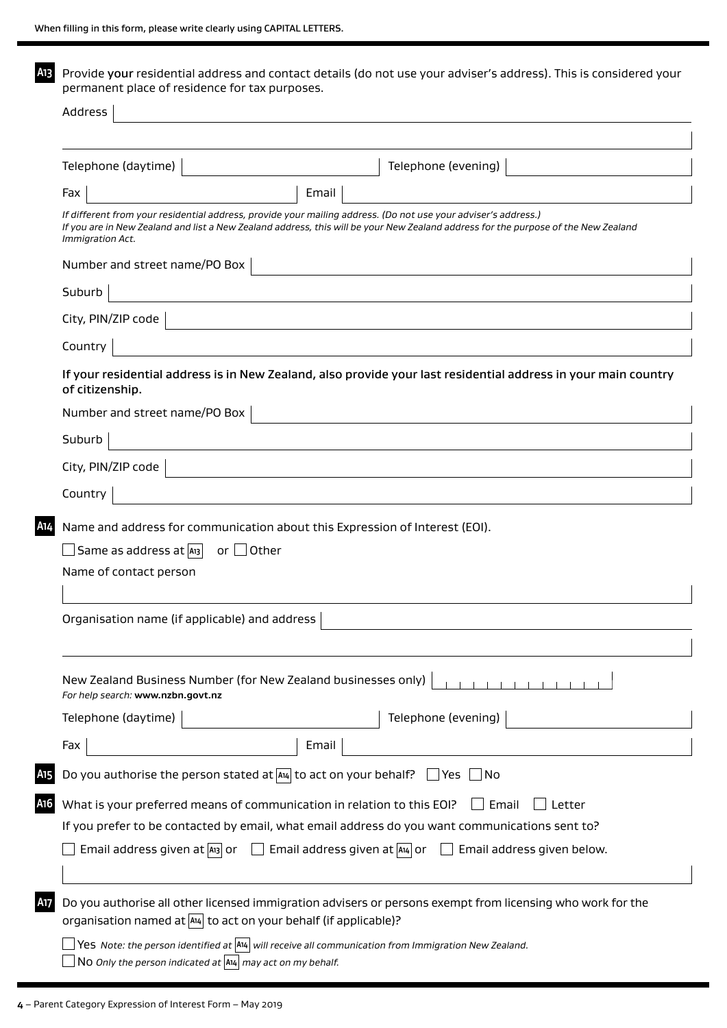**A13** Provide your residential address and contact details (do not use your adviser's address). This is considered your permanent place of residence for tax purposes.

| Telephone (daytime)                                                 | Telephone (evening)                                                                                                                                                                                                                                  |
|---------------------------------------------------------------------|------------------------------------------------------------------------------------------------------------------------------------------------------------------------------------------------------------------------------------------------------|
| Fax                                                                 | Email                                                                                                                                                                                                                                                |
| Immigration Act.                                                    | If different from your residential address, provide your mailing address. (Do not use your adviser's address.)<br>If you are in New Zealand and list a New Zealand address, this will be your New Zealand address for the purpose of the New Zealand |
| Number and street name/PO Box                                       |                                                                                                                                                                                                                                                      |
| Suburb                                                              |                                                                                                                                                                                                                                                      |
| City, PIN/ZIP code                                                  |                                                                                                                                                                                                                                                      |
| Country                                                             |                                                                                                                                                                                                                                                      |
| of citizenship.                                                     | If your residential address is in New Zealand, also provide your last residential address in your main country                                                                                                                                       |
| Number and street name/PO Box                                       |                                                                                                                                                                                                                                                      |
| Suburb                                                              |                                                                                                                                                                                                                                                      |
| City, PIN/ZIP code                                                  |                                                                                                                                                                                                                                                      |
| Country                                                             |                                                                                                                                                                                                                                                      |
| Same as address at   A13                                            | Name and address for communication about this Expression of Interest (EOI).<br>or $\Box$ Other                                                                                                                                                       |
| Name of contact person                                              |                                                                                                                                                                                                                                                      |
| Organisation name (if applicable) and address                       |                                                                                                                                                                                                                                                      |
| For help search: www.nzbn.govt.nz                                   | New Zealand Business Number (for New Zealand businesses only)<br>$-1$ , $1$ , $1$ , $1$ , $1$                                                                                                                                                        |
| Telephone (daytime)                                                 | Telephone (evening)                                                                                                                                                                                                                                  |
| Fax                                                                 | Email                                                                                                                                                                                                                                                |
|                                                                     | Do you authorise the person stated at $A_4$ to act on your behalf? $\Box$ Yes $\Box$ No                                                                                                                                                              |
|                                                                     | What is your preferred means of communication in relation to this EOI?<br>Email<br>Letter                                                                                                                                                            |
|                                                                     | If you prefer to be contacted by email, what email address do you want communications sent to?                                                                                                                                                       |
|                                                                     | Email address given at $ A_{13} $ or $\Box$ Email address given at $ A_{14} $ or $\Box$ Email address given below.                                                                                                                                   |
| organisation named at $ A4 $ to act on your behalf (if applicable)? | Do you authorise all other licensed immigration advisers or persons exempt from licensing who work for the                                                                                                                                           |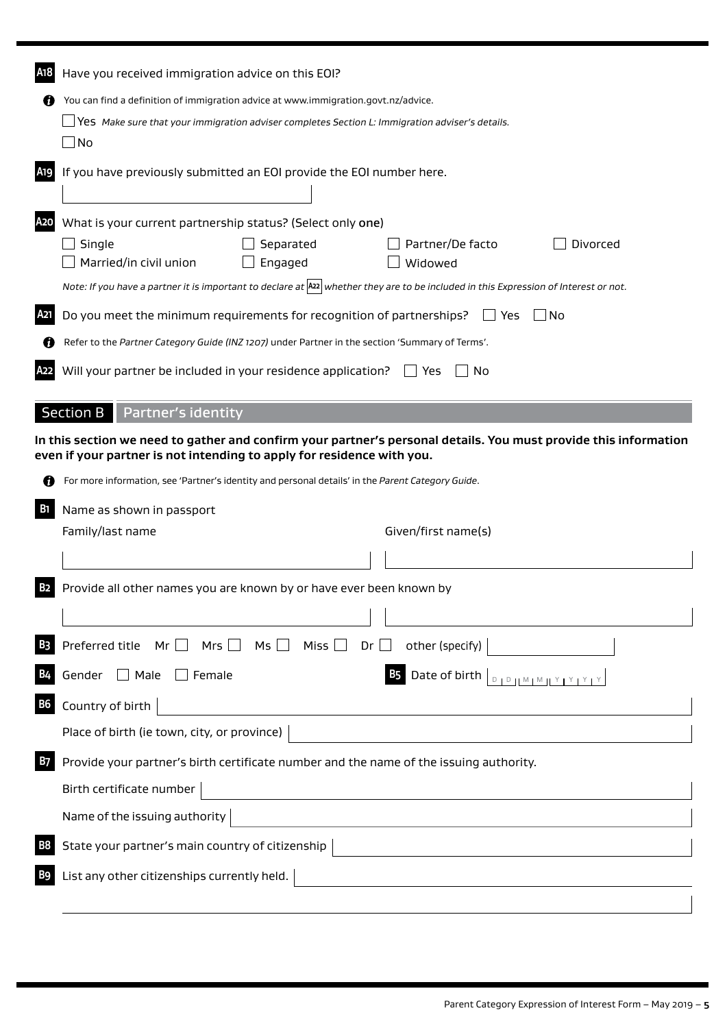| A18        | Have you received immigration advice on this EOI?                                                                                                                                          |  |  |
|------------|--------------------------------------------------------------------------------------------------------------------------------------------------------------------------------------------|--|--|
|            | You can find a definition of immigration advice at www.immigration.govt.nz/advice.                                                                                                         |  |  |
|            | Yes Make sure that your immigration adviser completes Section L: Immigration adviser's details.                                                                                            |  |  |
|            | $\Box$ No                                                                                                                                                                                  |  |  |
| A19        | If you have previously submitted an EOI provide the EOI number here.                                                                                                                       |  |  |
| A2O        | What is your current partnership status? (Select only one)                                                                                                                                 |  |  |
|            | Single<br>Separated<br>Partner/De facto<br>Divorced<br>Married/in civil union<br>Engaged<br>Widowed                                                                                        |  |  |
|            | Note: If you have a partner it is important to declare at $ \text{az} $ whether they are to be included in this Expression of Interest or not.                                             |  |  |
| A21        | Do you meet the minimum requirements for recognition of partnerships?<br>l INo<br>∐ Yes                                                                                                    |  |  |
|            | Refer to the Partner Category Guide (INZ 1207) under Partner in the section 'Summary of Terms'.                                                                                            |  |  |
|            | Will your partner be included in your residence application?<br>No<br>Yes                                                                                                                  |  |  |
|            | <b>Section B</b><br><b>Partner's identity</b>                                                                                                                                              |  |  |
|            | In this section we need to gather and confirm your partner's personal details. You must provide this information<br>even if your partner is not intending to apply for residence with you. |  |  |
|            | For more information, see 'Partner's identity and personal details' in the Parent Category Guide.                                                                                          |  |  |
| <b>B</b> 1 | Name as shown in passport                                                                                                                                                                  |  |  |
|            | Given/first name(s)<br>Family/last name                                                                                                                                                    |  |  |
|            |                                                                                                                                                                                            |  |  |
| В2         | Provide all other names you are known by or have ever been known by                                                                                                                        |  |  |
|            |                                                                                                                                                                                            |  |  |
|            | Preferred title $Mr \Box$ Mrs $\Box$ Ms $\Box$ Miss $\Box$<br>other (specify)<br>$Dr$ $\Box$                                                                                               |  |  |
|            | <b>B5</b> Date of birth $\vert_{\mathbb{D}_1\mathbb{D}_1\mathbb{M}_1\mathbb{M}_1\mathbb{M}_2\mathbb{M}_3\mathbb{M}_4\mathbb{M}_4}$<br>Gender $\Box$ Male<br>$\Box$ Female                  |  |  |
| <b>B6</b>  |                                                                                                                                                                                            |  |  |
|            | Country of birth                                                                                                                                                                           |  |  |
|            | Place of birth (ie town, city, or province)                                                                                                                                                |  |  |
| B7         | Provide your partner's birth certificate number and the name of the issuing authority.                                                                                                     |  |  |
|            | Birth certificate number                                                                                                                                                                   |  |  |
|            | Name of the issuing authority                                                                                                                                                              |  |  |
|            | State your partner's main country of citizenship                                                                                                                                           |  |  |
|            | List any other citizenships currently held.                                                                                                                                                |  |  |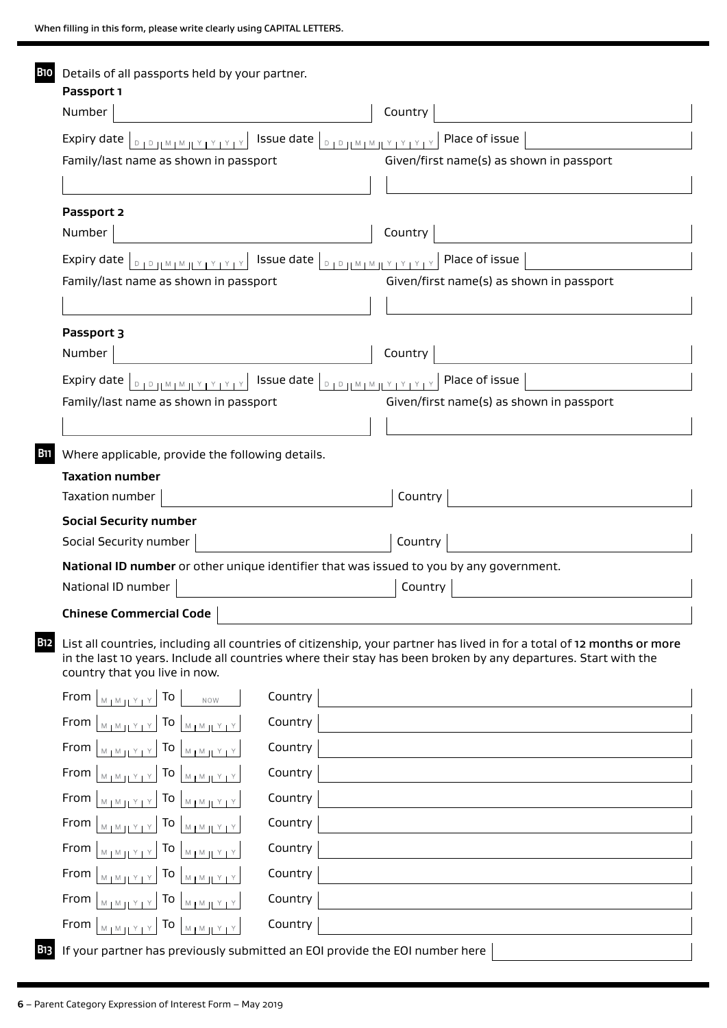| B10         | Details of all passports held by your partner.<br>Passport 1                                                                                                                                                                                                              |                                          |
|-------------|---------------------------------------------------------------------------------------------------------------------------------------------------------------------------------------------------------------------------------------------------------------------------|------------------------------------------|
|             | Number                                                                                                                                                                                                                                                                    | Country                                  |
|             | Family/last name as shown in passport                                                                                                                                                                                                                                     | Given/first name(s) as shown in passport |
|             |                                                                                                                                                                                                                                                                           |                                          |
|             | Passport 2                                                                                                                                                                                                                                                                |                                          |
|             | Number                                                                                                                                                                                                                                                                    | Country                                  |
|             | Expiry date $ _{\mathbb{D}_1 \mathbb{D}_1 \mathbb{N}_1 \mathbb{N}_1 \mathbb{N}_2 \mathbb{N}_1 \mathbb{Y}_1 \mathbb{Y}_1 \mathbb{Y}_1}$                                                                                                                                    |                                          |
|             | Family/last name as shown in passport                                                                                                                                                                                                                                     | Given/first name(s) as shown in passport |
|             |                                                                                                                                                                                                                                                                           |                                          |
|             | Passport 3                                                                                                                                                                                                                                                                |                                          |
|             | Number                                                                                                                                                                                                                                                                    | Country                                  |
|             | $\overline{a}$ Issue date $\overline{a}$<br>Expiry date $ _{\mathbb{D}_1 \mathbb{D}_1   \mathbb{M}_1 \mathbb{M}_1   \mathbb{M}_1 \mathbb{M}_1   \mathbb{M}_1 \mathbb{M}_1   \mathbb{M}_1 \mathbb{M}_1   \mathbb{M}_1}$                                                    | Place of issue                           |
|             | Family/last name as shown in passport                                                                                                                                                                                                                                     | Given/first name(s) as shown in passport |
|             |                                                                                                                                                                                                                                                                           |                                          |
| <b>B</b> 11 | Where applicable, provide the following details.                                                                                                                                                                                                                          |                                          |
|             | <b>Taxation number</b>                                                                                                                                                                                                                                                    |                                          |
|             | Taxation number                                                                                                                                                                                                                                                           | Country                                  |
|             | <b>Social Security number</b>                                                                                                                                                                                                                                             |                                          |
|             | Social Security number                                                                                                                                                                                                                                                    | Country                                  |
|             | National ID number or other unique identifier that was issued to you by any government.<br>National ID number                                                                                                                                                             | Country                                  |
|             |                                                                                                                                                                                                                                                                           |                                          |
|             | <b>Chinese Commercial Code</b>                                                                                                                                                                                                                                            |                                          |
| B12         | List all countries, including all countries of citizenship, your partner has lived in for a total of 12 months or more<br>in the last 10 years. Include all countries where their stay has been broken by any departures. Start with the<br>country that you live in now. |                                          |
|             | Country<br>From<br>To<br>$M + M + Y + Y$<br>NOW                                                                                                                                                                                                                           |                                          |
|             | Country<br>From<br>To $ _{\mathbb{M}_1 \mathbb{M}_1[\frac{y}{1}]}$<br>$M$ $M$ $N$ $Y$ $Y$                                                                                                                                                                                 |                                          |
|             | Country<br>From<br>To $ _{\mathbb{M}_1\mathbb{M}_1[\frac{Y+Y}{2}]}$<br>$M + M + Y + Y$                                                                                                                                                                                    |                                          |
|             | Country<br>From<br>To $ _{\mathbb{M}_1\mathbb{M}_2[\frac{Y}{Y}]}\times$<br>$M + M + Y + Y$                                                                                                                                                                                |                                          |
|             | Country<br>From<br>To<br>$M + M + Y + Y$<br>$M$   $M$   $Y$   $Y$                                                                                                                                                                                                         |                                          |
|             | Country<br>From<br>To<br>$M_{\rm H}$ M <sub>H</sub><br>$M + M + Y + Y$                                                                                                                                                                                                    |                                          |
|             | Country<br>From<br>To<br>$M_1M_H$                                                                                                                                                                                                                                         |                                          |
|             | Country<br>From<br>To<br>$M + M + Y +$<br>$M + M + Y + Y$                                                                                                                                                                                                                 |                                          |
|             | Country<br>From<br>To<br>$M + M + I$                                                                                                                                                                                                                                      |                                          |
|             | Country<br>From<br>To $ _{\mathbb{M}_1 \mathbb{M}_1 \mathbb{M}_2 \mathbb{M}_3}$<br>$M + M + \underline{Y + Y}$                                                                                                                                                            |                                          |

**B13** If your partner has previously submitted an EOI provide the EOI number here  $\Big|$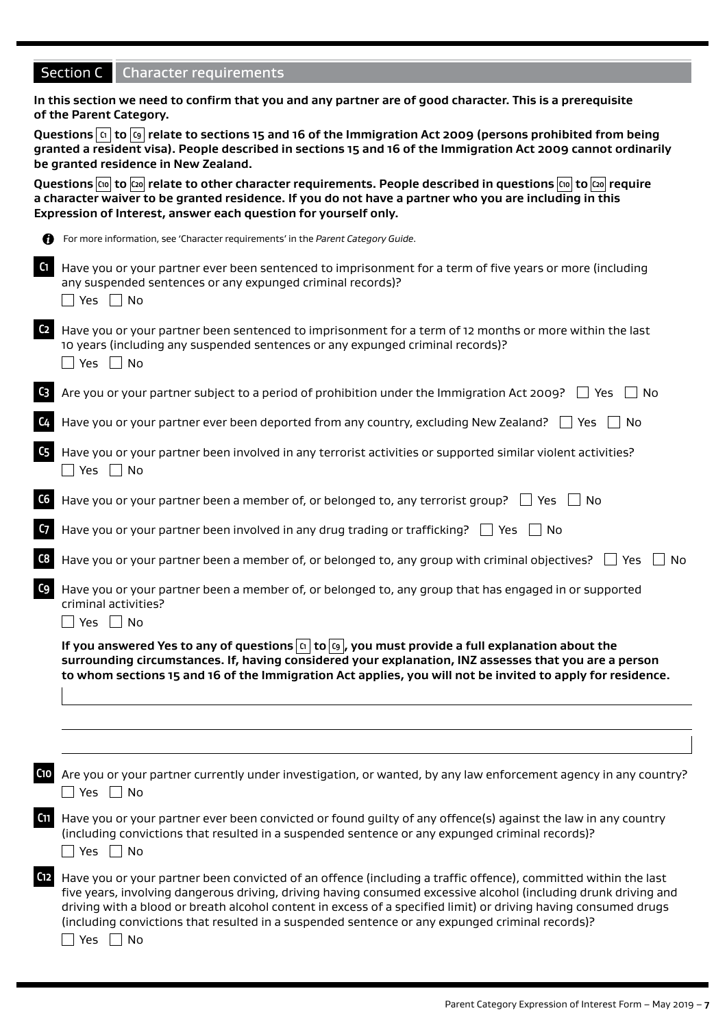|                                                                                                                                                  | <b>Character requirements</b><br>Section C                                                                                                                                                                                                                                                                                                                                                                                                                               |  |  |  |
|--------------------------------------------------------------------------------------------------------------------------------------------------|--------------------------------------------------------------------------------------------------------------------------------------------------------------------------------------------------------------------------------------------------------------------------------------------------------------------------------------------------------------------------------------------------------------------------------------------------------------------------|--|--|--|
|                                                                                                                                                  | In this section we need to confirm that you and any partner are of good character. This is a prerequisite<br>of the Parent Category.                                                                                                                                                                                                                                                                                                                                     |  |  |  |
|                                                                                                                                                  | Questions $\boxed{c}$ to $\boxed{c}$ relate to sections 15 and 16 of the Immigration Act 2009 (persons prohibited from being<br>granted a resident visa). People described in sections 15 and 16 of the Immigration Act 2009 cannot ordinarily<br>be granted residence in New Zealand.                                                                                                                                                                                   |  |  |  |
|                                                                                                                                                  | a character waiver to be granted residence. If you do not have a partner who you are including in this<br>Expression of Interest, answer each question for yourself only.                                                                                                                                                                                                                                                                                                |  |  |  |
| n                                                                                                                                                | For more information, see 'Character requirements' in the Parent Category Guide.                                                                                                                                                                                                                                                                                                                                                                                         |  |  |  |
| C1                                                                                                                                               | Have you or your partner ever been sentenced to imprisonment for a term of five years or more (including<br>any suspended sentences or any expunged criminal records)?<br>Yes $\Box$ No                                                                                                                                                                                                                                                                                  |  |  |  |
| C <sub>2</sub>                                                                                                                                   | Have you or your partner been sentenced to imprisonment for a term of 12 months or more within the last<br>10 years (including any suspended sentences or any expunged criminal records)?<br>Yes $\Box$ No                                                                                                                                                                                                                                                               |  |  |  |
| C3                                                                                                                                               | Are you or your partner subject to a period of prohibition under the Immigration Act 2009? $\Box$ Yes<br>∣No                                                                                                                                                                                                                                                                                                                                                             |  |  |  |
|                                                                                                                                                  | Have you or your partner ever been deported from any country, excluding New Zealand? $\Box$ Yes $\Box$ No                                                                                                                                                                                                                                                                                                                                                                |  |  |  |
| C <sub>5</sub>                                                                                                                                   | Have you or your partner been involved in any terrorist activities or supported similar violent activities?<br>No Pres D                                                                                                                                                                                                                                                                                                                                                 |  |  |  |
| C6                                                                                                                                               | Have you or your partner been a member of, or belonged to, any terrorist group? $\Box$ Yes $\Box$ No                                                                                                                                                                                                                                                                                                                                                                     |  |  |  |
| C <sub>7</sub>                                                                                                                                   | Have you or your partner been involved in any drug trading or trafficking? $\Box$ Yes $\Box$ No                                                                                                                                                                                                                                                                                                                                                                          |  |  |  |
| C8                                                                                                                                               | Have you or your partner been a member of, or belonged to, any group with criminal objectives? $\Box$<br>Yes<br>No.                                                                                                                                                                                                                                                                                                                                                      |  |  |  |
| C9<br>Have you or your partner been a member of, or belonged to, any group that has engaged in or supported<br>criminal activities?<br>No<br>Yes |                                                                                                                                                                                                                                                                                                                                                                                                                                                                          |  |  |  |
|                                                                                                                                                  | If you answered Yes to any of questions $\boxed{\alpha}$ to $\boxed{\omega}$ , you must provide a full explanation about the<br>surrounding circumstances. If, having considered your explanation, INZ assesses that you are a person<br>to whom sections 15 and 16 of the Immigration Act applies, you will not be invited to apply for residence.                                                                                                                      |  |  |  |
|                                                                                                                                                  |                                                                                                                                                                                                                                                                                                                                                                                                                                                                          |  |  |  |
| C <sub>10</sub>                                                                                                                                  | Are you or your partner currently under investigation, or wanted, by any law enforcement agency in any country?<br>$\Box$ Yes $\Box$ No                                                                                                                                                                                                                                                                                                                                  |  |  |  |
| C <sub>11</sub>                                                                                                                                  | Have you or your partner ever been convicted or found guilty of any offence(s) against the law in any country<br>(including convictions that resulted in a suspended sentence or any expunged criminal records)?<br>Yes $\Box$ No                                                                                                                                                                                                                                        |  |  |  |
| C12                                                                                                                                              | Have you or your partner been convicted of an offence (including a traffic offence), committed within the last<br>five years, involving dangerous driving, driving having consumed excessive alcohol (including drunk driving and<br>driving with a blood or breath alcohol content in excess of a specified limit) or driving having consumed drugs<br>(including convictions that resulted in a suspended sentence or any expunged criminal records)?<br>Yes  <br>  No |  |  |  |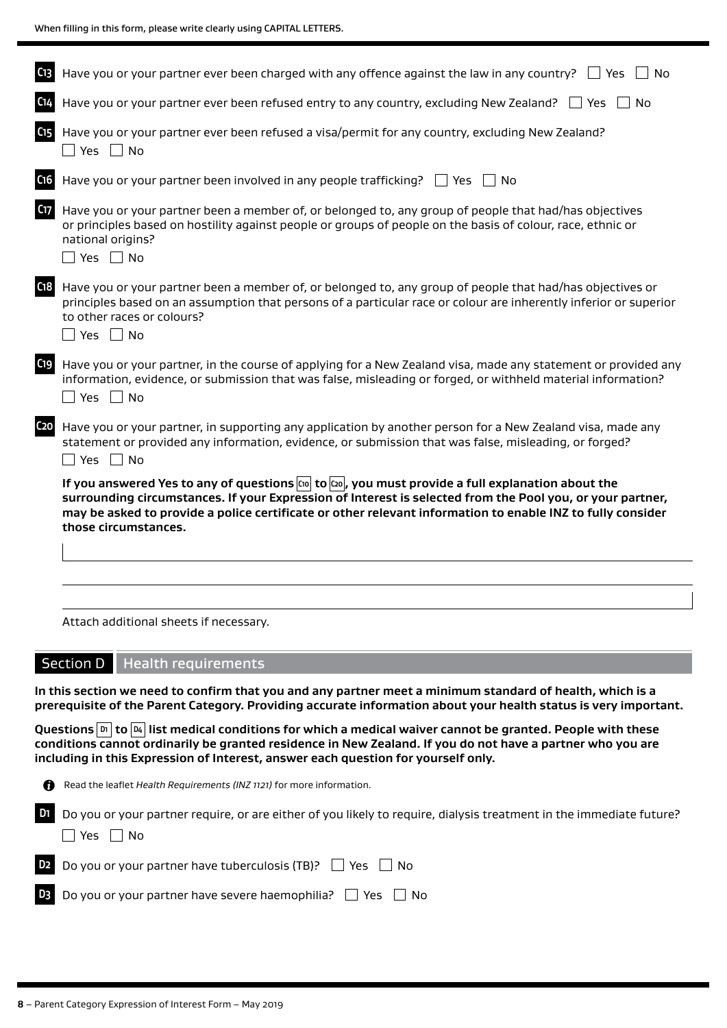|                 | Have you or your partner ever been charged with any offence against the law in any country?<br>l I Yes<br>No                                                                                                                                                                                                                                                  |
|-----------------|---------------------------------------------------------------------------------------------------------------------------------------------------------------------------------------------------------------------------------------------------------------------------------------------------------------------------------------------------------------|
|                 | Have you or your partner ever been refused entry to any country, excluding New Zealand?<br>l Yes<br>No.                                                                                                                                                                                                                                                       |
| C15             | Have you or your partner ever been refused a visa/permit for any country, excluding New Zealand?<br>⊃Yes ∏ No                                                                                                                                                                                                                                                 |
| C <sub>16</sub> | Have you or your partner been involved in any people trafficking? $\Box$ Yes<br>$\vert$ $\vert$ No                                                                                                                                                                                                                                                            |
| C17             | Have you or your partner been a member of, or belonged to, any group of people that had/has objectives<br>or principles based on hostility against people or groups of people on the basis of colour, race, ethnic or<br>national origins?<br>$\Box$ Yes $\Box$ No                                                                                            |
| C <sub>18</sub> | Have you or your partner been a member of, or belonged to, any group of people that had/has objectives or<br>principles based on an assumption that persons of a particular race or colour are inherently inferior or superior<br>to other races or colours?<br>$\Box$ Yes $\Box$ No                                                                          |
| C19             | Have you or your partner, in the course of applying for a New Zealand visa, made any statement or provided any<br>information, evidence, or submission that was false, misleading or forged, or withheld material information?<br>│ Yes │ No                                                                                                                  |
| C <sub>20</sub> | Have you or your partner, in supporting any application by another person for a New Zealand visa, made any<br>statement or provided any information, evidence, or submission that was false, misleading, or forged?<br>  No<br>Yes                                                                                                                            |
|                 | If you answered Yes to any of questions $\cos  \cos  \cos  $ you must provide a full explanation about the<br>surrounding circumstances. If your Expression of Interest is selected from the Pool you, or your partner,<br>may be asked to provide a police certificate or other relevant information to enable INZ to fully consider<br>those circumstances. |
|                 |                                                                                                                                                                                                                                                                                                                                                               |
|                 |                                                                                                                                                                                                                                                                                                                                                               |
|                 | Attach additional sheets if necessary.                                                                                                                                                                                                                                                                                                                        |
|                 | Section D   Health requirements                                                                                                                                                                                                                                                                                                                               |
|                 | In this section we need to confirm that you and any partner meet a minimum standard of health, which is a<br>prerequisite of the Parent Category. Providing accurate information about your health status is very important.                                                                                                                                  |

Questions **D1** to  $\boxed{p_4}$  list medical conditions for which a medical waiver cannot be granted. People with these **conditions cannot ordinarily be granted residence in New Zealand. If you do not have a partner who you are including in this Expression of Interest, answer each question for yourself only.**

Read the leaflet *Health Requirements (INZ 1121)* for more information.

**D1** Do you or your partner require, or are either of you likely to require, dialysis treatment in the immediate future?  $\Box$  Yes  $\Box$  No

**D2** Do you or your partner have tuberculosis (TB)?  $\Box$  Yes  $\Box$  No

| <b>B</b> Do you or your partner have severe haemophilia? $\Box$ Yes $\Box$ No |  |  |
|-------------------------------------------------------------------------------|--|--|
|-------------------------------------------------------------------------------|--|--|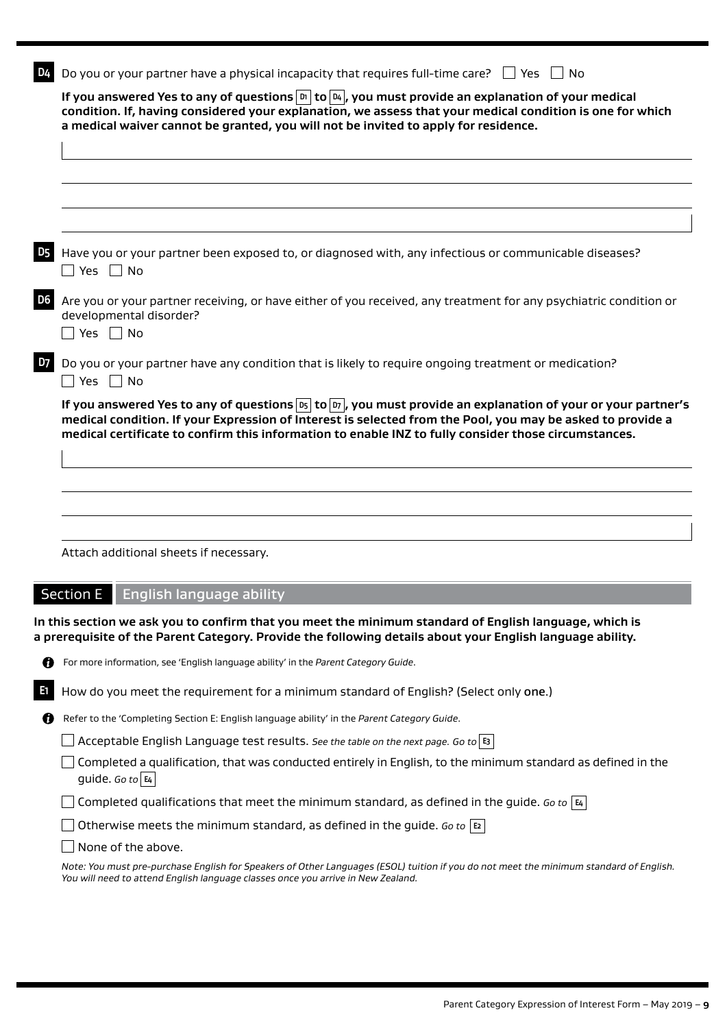| D4             | Do you or your partner have a physical incapacity that requires full-time care? $\Box$ Yes $\Box$ No                                                                                                                                                                                                                                                                             |
|----------------|----------------------------------------------------------------------------------------------------------------------------------------------------------------------------------------------------------------------------------------------------------------------------------------------------------------------------------------------------------------------------------|
|                | If you answered Yes to any of questions $\boxed{\scriptscriptstyle{\text{D}}}$ to $\boxed{\scriptscriptstyle{\text{D}}_4}$ , you must provide an explanation of your medical<br>condition. If, having considered your explanation, we assess that your medical condition is one for which<br>a medical waiver cannot be granted, you will not be invited to apply for residence. |
|                |                                                                                                                                                                                                                                                                                                                                                                                  |
|                |                                                                                                                                                                                                                                                                                                                                                                                  |
|                |                                                                                                                                                                                                                                                                                                                                                                                  |
|                |                                                                                                                                                                                                                                                                                                                                                                                  |
| D <sub>5</sub> | Have you or your partner been exposed to, or diagnosed with, any infectious or communicable diseases?<br>$\Box$ Yes $\Box$ No                                                                                                                                                                                                                                                    |
| D <sub>6</sub> | Are you or your partner receiving, or have either of you received, any treatment for any psychiatric condition or<br>developmental disorder?<br>$\sqsupset$ Yes $\;\sqcap$ No                                                                                                                                                                                                    |
| D7             | Do you or your partner have any condition that is likely to require ongoing treatment or medication?<br>⊃Yes ∩No                                                                                                                                                                                                                                                                 |
|                | If you answered Yes to any of questions $\overline{p_5}$ to $\overline{p_7}$ , you must provide an explanation of your or your partner's<br>medical condition. If your Expression of Interest is selected from the Pool, you may be asked to provide a<br>medical certificate to confirm this information to enable INZ to fully consider those circumstances.                   |
|                |                                                                                                                                                                                                                                                                                                                                                                                  |
|                |                                                                                                                                                                                                                                                                                                                                                                                  |
|                |                                                                                                                                                                                                                                                                                                                                                                                  |
|                | Attach additional sheets if necessary.                                                                                                                                                                                                                                                                                                                                           |
|                |                                                                                                                                                                                                                                                                                                                                                                                  |
|                | <b>Section E</b><br><b>English language ability</b>                                                                                                                                                                                                                                                                                                                              |
|                | In this section we ask you to confirm that you meet the minimum standard of English language, which is<br>a prerequisite of the Parent Category. Provide the following details about your English language ability.                                                                                                                                                              |
| O              | For more information, see 'English language ability' in the Parent Category Guide.                                                                                                                                                                                                                                                                                               |
| E1             | How do you meet the requirement for a minimum standard of English? (Select only one.)                                                                                                                                                                                                                                                                                            |
| O              | Refer to the 'Completing Section E: English language ability' in the Parent Category Guide.                                                                                                                                                                                                                                                                                      |
|                | Acceptable English Language test results. See the table on the next page. Go to $ s $                                                                                                                                                                                                                                                                                            |
|                | Completed a qualification, that was conducted entirely in English, to the minimum standard as defined in the<br>guide. Go to $ \mathbf{E}_4 $                                                                                                                                                                                                                                    |
|                | Completed qualifications that meet the minimum standard, as defined in the guide. Go to $ \mathbf{a} $                                                                                                                                                                                                                                                                           |
|                | Otherwise meets the minimum standard, as defined in the guide. Go to $ E $                                                                                                                                                                                                                                                                                                       |
|                | None of the above.                                                                                                                                                                                                                                                                                                                                                               |

*Note: You must pre-purchase English for Speakers of Other Languages (ESOL) tuition if you do not meet the minimum standard of English. You will need to attend English language classes once you arrive in New Zealand.*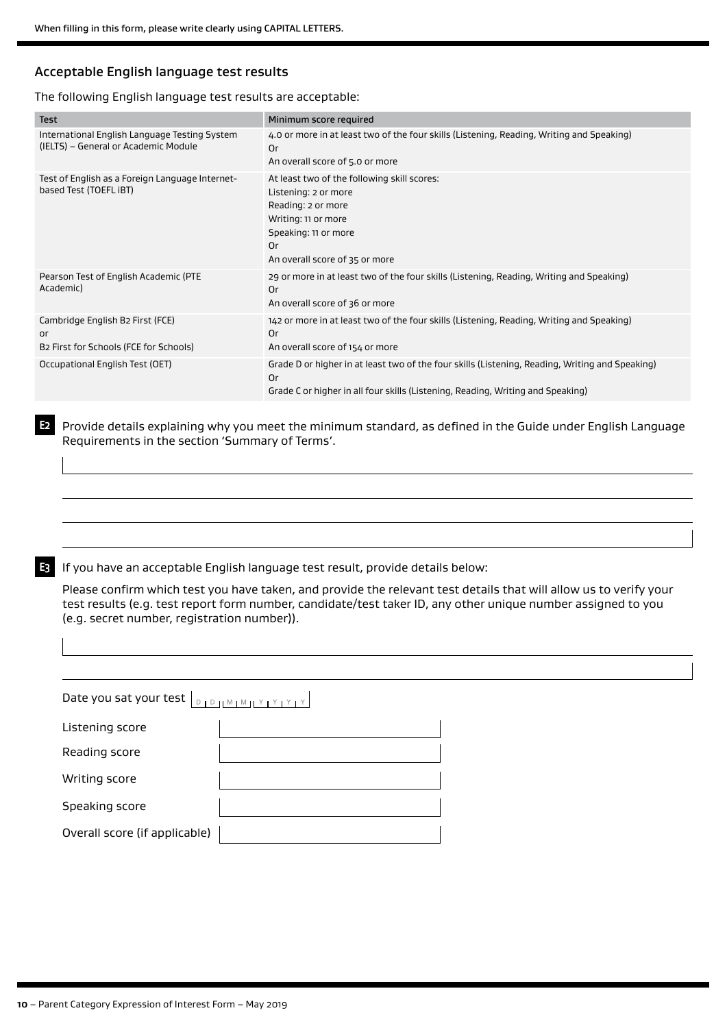# Acceptable English language test results

#### The following English language test results are acceptable:

| <b>Test</b>                                                                           | Minimum score required                                                                                                                                                                   |
|---------------------------------------------------------------------------------------|------------------------------------------------------------------------------------------------------------------------------------------------------------------------------------------|
| International English Language Testing System<br>(IELTS) – General or Academic Module | 4.0 or more in at least two of the four skills (Listening, Reading, Writing and Speaking)<br>0r<br>An overall score of 5.0 or more                                                       |
| Test of English as a Foreign Language Internet-<br>based Test (TOEFL iBT)             | At least two of the following skill scores:<br>Listening: 2 or more<br>Reading: 2 or more<br>Writing: 11 or more<br>Speaking: 11 or more<br>0r<br>An overall score of 35 or more         |
| Pearson Test of English Academic (PTE<br>Academic)                                    | 29 or more in at least two of the four skills (Listening, Reading, Writing and Speaking)<br>0r<br>An overall score of 36 or more                                                         |
| Cambridge English B2 First (FCE)<br>or<br>B2 First for Schools (FCE for Schools)      | 142 or more in at least two of the four skills (Listening, Reading, Writing and Speaking)<br>0r<br>An overall score of 154 or more                                                       |
| Occupational English Test (OET)                                                       | Grade D or higher in at least two of the four skills (Listening, Reading, Writing and Speaking)<br>0r<br>Grade C or higher in all four skills (Listening, Reading, Writing and Speaking) |

**E2** Provide details explaining why you meet the minimum standard, as defined in the Guide under English Language Requirements in the section 'Summary of Terms'.

**E3** If you have an acceptable English language test result, provide details below:

Please confirm which test you have taken, and provide the relevant test details that will allow us to verify your test results (e.g. test report form number, candidate/test taker ID, any other unique number assigned to you (e.g. secret number, registration number)).

| Date you sat your test $ _{\mathbb{D}_1 \mathbb{D}_1 \mathbb{M}_1 \mathbb{M}_1 \mathbb{M}_1 \mathbb{M}_1 \mathbb{M}_1 \mathbb{M}_1 \mathbb{M}_1}$ |  |  |  |  |
|---------------------------------------------------------------------------------------------------------------------------------------------------|--|--|--|--|
| Listening score                                                                                                                                   |  |  |  |  |
| Reading score                                                                                                                                     |  |  |  |  |
| Writing score                                                                                                                                     |  |  |  |  |
| Speaking score                                                                                                                                    |  |  |  |  |
| Overall score (if applicable)                                                                                                                     |  |  |  |  |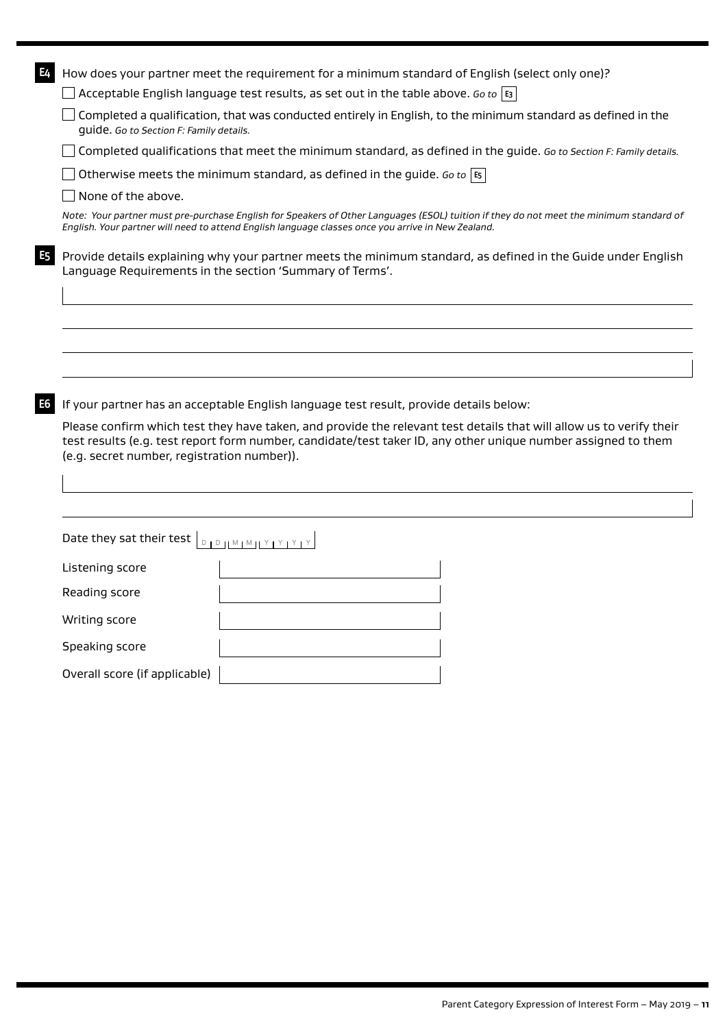| E4 |                                             | How does your partner meet the requirement for a minimum standard of English (select only one)?                                                                                                                                               |
|----|---------------------------------------------|-----------------------------------------------------------------------------------------------------------------------------------------------------------------------------------------------------------------------------------------------|
|    |                                             | Acceptable English language test results, as set out in the table above. Go to $\vert$ E3                                                                                                                                                     |
|    | guide. Go to Section F: Family details.     | Completed a qualification, that was conducted entirely in English, to the minimum standard as defined in the                                                                                                                                  |
|    |                                             | Completed qualifications that meet the minimum standard, as defined in the guide. Go to Section F: Family details.                                                                                                                            |
|    |                                             | Otherwise meets the minimum standard, as defined in the guide. Go to $ \mathfrak{s} $                                                                                                                                                         |
|    | None of the above.                          |                                                                                                                                                                                                                                               |
|    |                                             | Note: Your partner must pre-purchase English for Speakers of Other Languages (ESOL) tuition if they do not meet the minimum standard of<br>English. Your partner will need to attend English language classes once you arrive in New Zealand. |
| E5 |                                             | Provide details explaining why your partner meets the minimum standard, as defined in the Guide under English<br>Language Requirements in the section 'Summary of Terms'.                                                                     |
|    |                                             |                                                                                                                                                                                                                                               |
|    |                                             |                                                                                                                                                                                                                                               |
|    |                                             |                                                                                                                                                                                                                                               |
|    |                                             |                                                                                                                                                                                                                                               |
| E6 |                                             | If your partner has an acceptable English language test result, provide details below:                                                                                                                                                        |
|    | (e.g. secret number, registration number)). | Please confirm which test they have taken, and provide the relevant test details that will allow us to verify their<br>test results (e.g. test report form number, candidate/test taker ID, any other unique number assigned to them          |
|    |                                             |                                                                                                                                                                                                                                               |
|    | Date they sat their test                    | $\begin{array}{c}\nD \cup Y \cup Y \cup M \cup M \cup M \cup M \cup M \end{array}$                                                                                                                                                            |
|    | Listening score                             |                                                                                                                                                                                                                                               |
|    | Reading score                               |                                                                                                                                                                                                                                               |
|    | Writing score                               |                                                                                                                                                                                                                                               |
|    | Speaking score                              |                                                                                                                                                                                                                                               |
|    | Overall score (if applicable)               |                                                                                                                                                                                                                                               |
|    |                                             |                                                                                                                                                                                                                                               |
|    |                                             |                                                                                                                                                                                                                                               |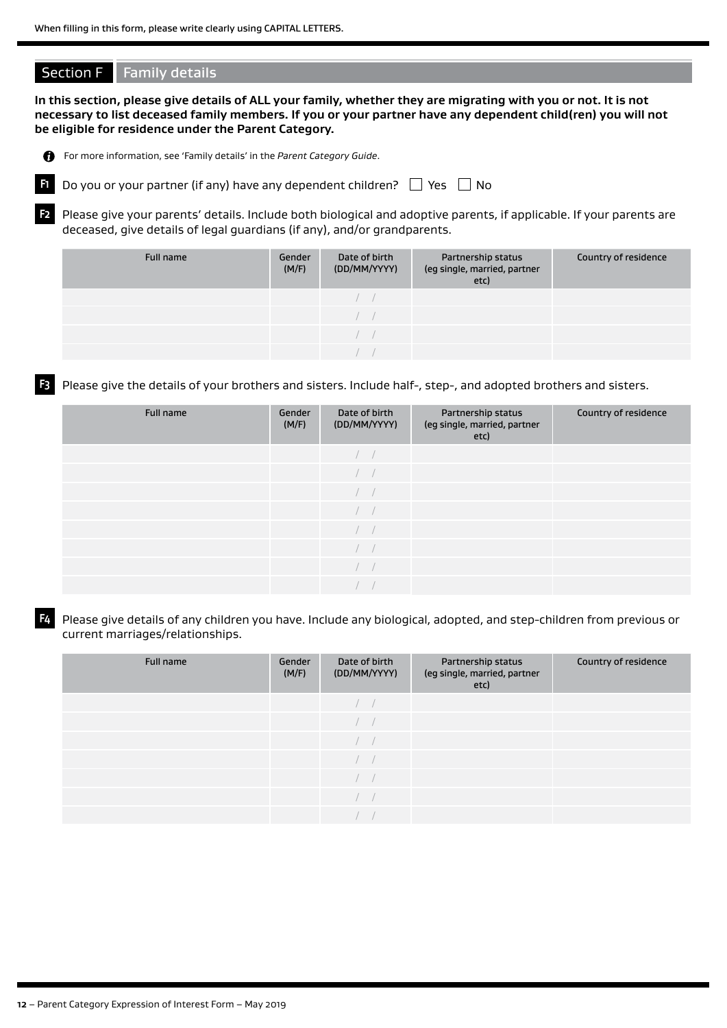# **Section F** Family details

**In this section, please give details of ALL your family, whether they are migrating with you or not. It is not necessary to list deceased family members. If you or your partner have any dependent child(ren) you will not be eligible for residence under the Parent Category.**



For more information, see 'Family details' in the *Parent Category Guide*.



**F1** Do you or your partner (if any) have any dependent children?  $\Box$  Yes  $\Box$  No

**F2** Please give your parents' details. Include both biological and adoptive parents, if applicable. If your parents are deceased, give details of legal guardians (if any), and/or grandparents.

| Full name | Gender<br>(M/F) | Date of birth<br>(DD/MM/YYYY) | Partnership status<br>(eg single, married, partner<br>etc) | Country of residence |
|-----------|-----------------|-------------------------------|------------------------------------------------------------|----------------------|
|           |                 |                               |                                                            |                      |
|           |                 |                               |                                                            |                      |
|           |                 |                               |                                                            |                      |
|           |                 |                               |                                                            |                      |

**F3** Please give the details of your brothers and sisters. Include half-, step-, and adopted brothers and sisters.

| Full name | Gender<br>(M/F) | Date of birth<br>(DD/MM/YYYY) | Partnership status<br>(eg single, married, partner<br>etc) | Country of residence |
|-----------|-----------------|-------------------------------|------------------------------------------------------------|----------------------|
|           |                 | $\sqrt{2}$                    |                                                            |                      |
|           |                 | $\overline{a}$                |                                                            |                      |
|           |                 | $\sqrt{2}$                    |                                                            |                      |
|           |                 | $\sqrt{2}$                    |                                                            |                      |
|           |                 | $\left  \quad \right $        |                                                            |                      |
|           |                 | $\sqrt{2}$                    |                                                            |                      |
|           |                 |                               |                                                            |                      |
|           |                 |                               |                                                            |                      |

**F4** Please give details of any children you have. Include any biological, adopted, and step-children from previous or current marriages/relationships.

| Full name | Gender<br>(M/F) | Date of birth<br>(DD/MM/YYYY) | Partnership status<br>(eg single, married, partner<br>etc) | Country of residence |
|-----------|-----------------|-------------------------------|------------------------------------------------------------|----------------------|
|           |                 |                               |                                                            |                      |
|           |                 |                               |                                                            |                      |
|           |                 |                               |                                                            |                      |
|           |                 |                               |                                                            |                      |
|           |                 |                               |                                                            |                      |
|           |                 |                               |                                                            |                      |
|           |                 |                               |                                                            |                      |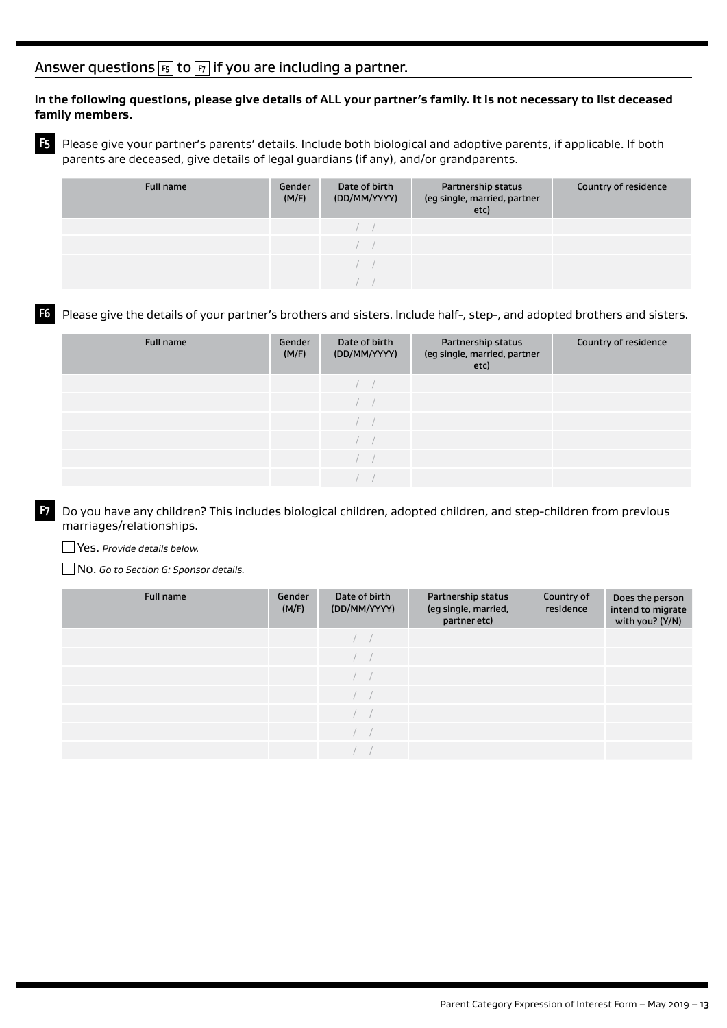# Answer questions **F5** to **F7** if you are including a partner.

## **In the following questions, please give details of ALL your partner's family. It is not necessary to list deceased family members.**

**F5** Please give your partner's parents' details. Include both biological and adoptive parents, if applicable. If both parents are deceased, give details of legal guardians (if any), and/or grandparents.

| Full name | Gender<br>(M/F) | Date of birth<br>(DD/MM/YYYY) | Partnership status<br>(eg single, married, partner<br>etc) | Country of residence |
|-----------|-----------------|-------------------------------|------------------------------------------------------------|----------------------|
|           |                 |                               |                                                            |                      |
|           |                 |                               |                                                            |                      |
|           |                 |                               |                                                            |                      |
|           |                 |                               |                                                            |                      |

# **F6** Please give the details of your partner's brothers and sisters. Include half-, step-, and adopted brothers and sisters.

| Full name | Gender<br>(M/F) | Date of birth<br>(DD/MM/YYYY) | Partnership status<br>(eg single, married, partner<br>etc) | Country of residence |
|-----------|-----------------|-------------------------------|------------------------------------------------------------|----------------------|
|           |                 |                               |                                                            |                      |
|           |                 |                               |                                                            |                      |
|           |                 |                               |                                                            |                      |
|           |                 |                               |                                                            |                      |
|           |                 |                               |                                                            |                      |
|           |                 |                               |                                                            |                      |

**F7** Do you have any children? This includes biological children, adopted children, and step-children from previous marriages/relationships.

Yes. *Provide details below.*

No. *Go to Section G: Sponsor details.*

| Full name | Gender<br>(M/F) | Date of birth<br>(DD/MM/YYYY) | Partnership status<br>(eg single, married,<br>partner etc) | Country of<br>residence | Does the person<br>intend to migrate<br>with you? (Y/N) |
|-----------|-----------------|-------------------------------|------------------------------------------------------------|-------------------------|---------------------------------------------------------|
|           |                 | man a                         |                                                            |                         |                                                         |
|           |                 | maria                         |                                                            |                         |                                                         |
|           |                 | 1 J                           |                                                            |                         |                                                         |
|           |                 |                               |                                                            |                         |                                                         |
|           |                 |                               |                                                            |                         |                                                         |
|           |                 |                               |                                                            |                         |                                                         |
|           |                 |                               |                                                            |                         |                                                         |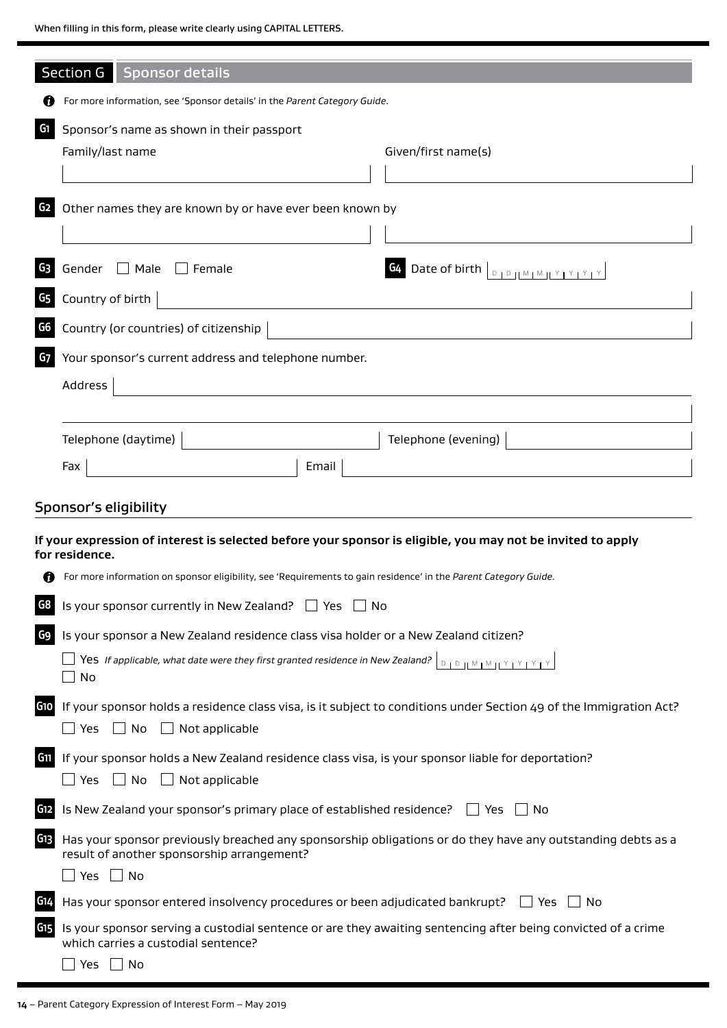When filling in this form, please write clearly using CAPITAL LETTERS.

|                 | Section G   Sponsor details                                                                                                                     |
|-----------------|-------------------------------------------------------------------------------------------------------------------------------------------------|
|                 | For more information, see 'Sponsor details' in the Parent Category Guide.                                                                       |
|                 |                                                                                                                                                 |
| G1              | Sponsor's name as shown in their passport<br>Given/first name(s)<br>Family/last name                                                            |
|                 |                                                                                                                                                 |
| G <sub>2</sub>  | Other names they are known by or have ever been known by                                                                                        |
|                 |                                                                                                                                                 |
| G3              | Gender $\Box$ Male<br>G4 Date of birth $\boxed{\text{p}_1\text{p}_1\text{M}_1\text{M}_1\text{Y}_1\text{Y}_1\text{Y}_1}$<br>$\vert \vert$ Female |
| G5              | Country of birth                                                                                                                                |
|                 |                                                                                                                                                 |
| G6              | Country (or countries) of citizenship                                                                                                           |
| G7              | Your sponsor's current address and telephone number.                                                                                            |
|                 | Address                                                                                                                                         |
|                 |                                                                                                                                                 |
|                 | Telephone (daytime)<br>Telephone (evening)                                                                                                      |
|                 | Email<br>Fax                                                                                                                                    |
|                 | Sponsor's eligibility                                                                                                                           |
|                 | If your expression of interest is selected before your sponsor is eligible, you may not be invited to apply                                     |
|                 | for residence.                                                                                                                                  |
|                 | For more information on sponsor eligibility, see 'Requirements to gain residence' in the Parent Category Guide.                                 |
| G8              | Is your sponsor currently in New Zealand? $\Box$ Yes<br>∣No                                                                                     |
| G9              | Is your sponsor a New Zealand residence class visa holder or a New Zealand citizen?                                                             |
|                 | Yes If applicable, what date were they first granted residence in New Zealand?<br>$D + D + M + M + Y + Y + Y + Y$<br>No                         |
| <b>G10</b>      | If your sponsor holds a residence class visa, is it subject to conditions under Section 49 of the Immigration Act?                              |
|                 | $\Box$ No<br>$\Box$ Not applicable<br>$\Box$ Yes                                                                                                |
| G <sub>11</sub> | If your sponsor holds a New Zealand residence class visa, is your sponsor liable for deportation?                                               |
|                 | $\Box$ No<br>Not applicable<br>__ Yes                                                                                                           |
| G12             | Is New Zealand your sponsor's primary place of established residence? $\Box$ Yes<br>No                                                          |
| G13             | Has your sponsor previously breached any sponsorship obligations or do they have any outstanding debts as a                                     |
|                 | result of another sponsorship arrangement?<br>$\Box$ Yes $\Box$ No                                                                              |
| G14             | Has your sponsor entered insolvency procedures or been adjudicated bankrupt?<br>l Yes<br>No.                                                    |
| G <sub>15</sub> | Is your sponsor serving a custodial sentence or are they awaiting sentencing after being convicted of a crime                                   |
|                 | which carries a custodial sentence?                                                                                                             |
|                 | Yes $\Box$ No                                                                                                                                   |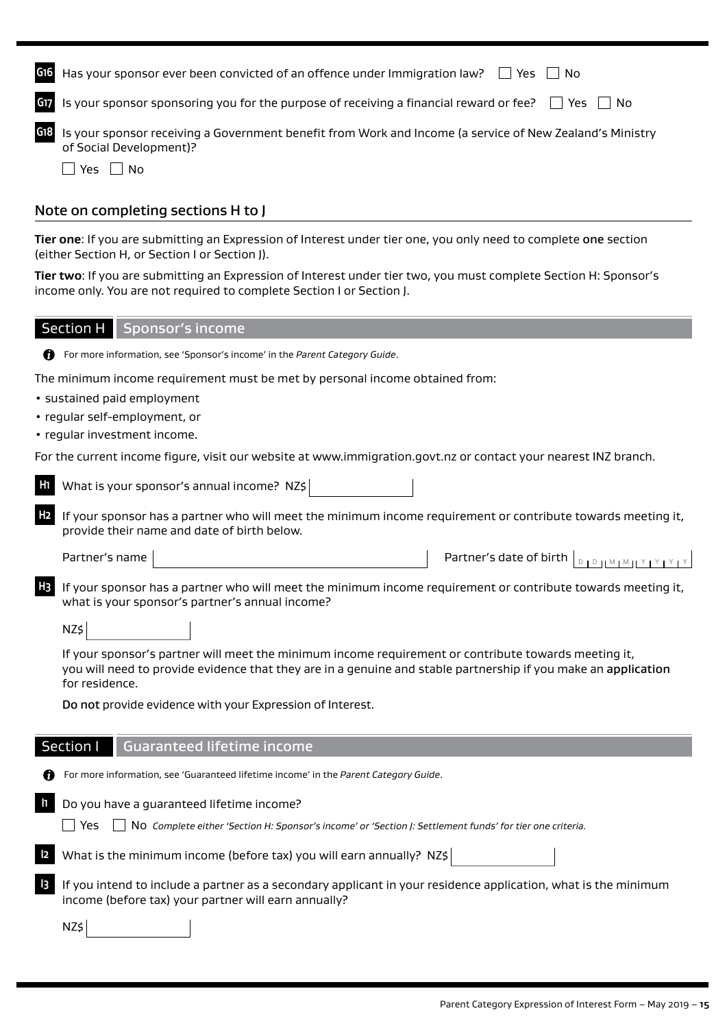| G <sub>16</sub> | Has your sponsor ever been convicted of an offence under Immigration law? $\Box$ Yes $\Box$ No                                                                                                                                           |
|-----------------|------------------------------------------------------------------------------------------------------------------------------------------------------------------------------------------------------------------------------------------|
| G17             | Is your sponsor sponsoring you for the purpose of receiving a financial reward or fee? $\Box$ Yes<br>No.                                                                                                                                 |
| G18             | Is your sponsor receiving a Government benefit from Work and Income (a service of New Zealand's Ministry<br>of Social Development)?                                                                                                      |
|                 | $\Box$ Yes $\Box$ No                                                                                                                                                                                                                     |
|                 |                                                                                                                                                                                                                                          |
|                 | Note on completing sections H to J                                                                                                                                                                                                       |
|                 | Tier one: If you are submitting an Expression of Interest under tier one, you only need to complete one section<br>(either Section H, or Section I or Section J).                                                                        |
|                 | Tier two: If you are submitting an Expression of Interest under tier two, you must complete Section H: Sponsor's<br>income only. You are not required to complete Section I or Section J.                                                |
|                 | <b>Section H</b><br>Sponsor's income                                                                                                                                                                                                     |
|                 | For more information, see 'Sponsor's income' in the Parent Category Guide.                                                                                                                                                               |
|                 | The minimum income requirement must be met by personal income obtained from:                                                                                                                                                             |
|                 | · sustained paid employment                                                                                                                                                                                                              |
|                 | • regular self-employment, or                                                                                                                                                                                                            |
|                 | • regular investment income.                                                                                                                                                                                                             |
|                 | For the current income figure, visit our website at www.immigration.govt.nz or contact your nearest INZ branch.                                                                                                                          |
| H1              | What is your sponsor's annual income? NZ\$                                                                                                                                                                                               |
| H <sub>2</sub>  | If your sponsor has a partner who will meet the minimum income requirement or contribute towards meeting it,<br>provide their name and date of birth below.                                                                              |
|                 | Partner's name<br>Partner's date of birth<br>$D + D + M + M + Y + Y + Y + Y$                                                                                                                                                             |
|                 | If your sponsor has a partner who will meet the minimum income requirement or contribute towards meeting it,<br>what is your sponsor's partner's annual income?                                                                          |
|                 | NZ\$                                                                                                                                                                                                                                     |
|                 | If your sponsor's partner will meet the minimum income requirement or contribute towards meeting it,<br>you will need to provide evidence that they are in a genuine and stable partnership if you make an application<br>for residence. |
|                 | Do not provide evidence with your Expression of Interest.                                                                                                                                                                                |
|                 | Section I<br><b>Guaranteed lifetime income</b>                                                                                                                                                                                           |
|                 | For more information, see 'Guaranteed lifetime income' in the Parent Category Guide.                                                                                                                                                     |
|                 | Do you have a guaranteed lifetime income?                                                                                                                                                                                                |
|                 | Yes<br>No Complete either 'Section H: Sponsor's income' or 'Section J: Settlement funds' for tier one criteria.                                                                                                                          |
|                 | What is the minimum income (before tax) you will earn annually? NZ\$                                                                                                                                                                     |
|                 | If you intend to include a partner as a secondary applicant in your residence application, what is the minimum<br>income (before tax) your partner will earn annually?                                                                   |
|                 | NZ\$                                                                                                                                                                                                                                     |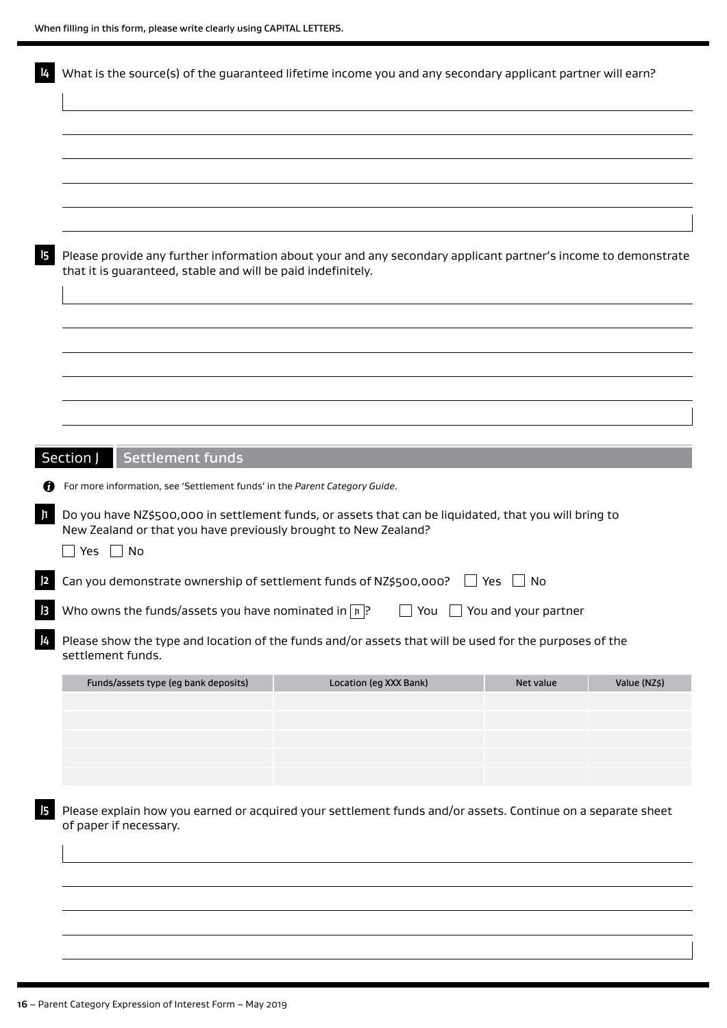| What is the source(s) of the guaranteed lifetime income you and any secondary applicant partner will earn?                                                                                       |                        |           |              |
|--------------------------------------------------------------------------------------------------------------------------------------------------------------------------------------------------|------------------------|-----------|--------------|
|                                                                                                                                                                                                  |                        |           |              |
|                                                                                                                                                                                                  |                        |           |              |
| Please provide any further information about your and any secondary applicant partner's income to demonstrate<br>that it is guaranteed, stable and will be paid indefinitely.                    |                        |           |              |
|                                                                                                                                                                                                  |                        |           |              |
|                                                                                                                                                                                                  |                        |           |              |
|                                                                                                                                                                                                  |                        |           |              |
|                                                                                                                                                                                                  |                        |           |              |
| Settlement funds<br>Section J                                                                                                                                                                    |                        |           |              |
| For more information, see 'Settlement funds' in the Parent Category Guide.                                                                                                                       |                        |           |              |
| Do you have NZ\$500,000 in settlement funds, or assets that can be liquidated, that you will bring to<br>New Zealand or that you have previously brought to New Zealand?<br>$\Box$ Yes $\Box$ No |                        |           |              |
| Can you demonstrate ownership of settlement funds of NZ\$500,000? $\Box$ Yes $\Box$ No                                                                                                           |                        |           |              |
| Who owns the funds/assets you have nominated in $\boxed{\upmu}$ ? $\boxed{\phantom{\text{max}}$ You $\phantom{\text{max}}$ You and your partner                                                  |                        |           |              |
| Please show the type and location of the funds and/or assets that will be used for the purposes of the<br>settlement funds.                                                                      |                        |           |              |
| Funds/assets type (eg bank deposits)                                                                                                                                                             | Location (eg XXX Bank) | Net value | Value (NZ\$) |
|                                                                                                                                                                                                  |                        |           |              |
|                                                                                                                                                                                                  |                        |           |              |
|                                                                                                                                                                                                  |                        |           |              |
| Please explain how you earned or acquired your settlement funds and/or assets. Continue on a separate sheet<br>of paper if necessary.                                                            |                        |           |              |
|                                                                                                                                                                                                  |                        |           |              |
|                                                                                                                                                                                                  |                        |           |              |
|                                                                                                                                                                                                  |                        |           |              |
|                                                                                                                                                                                                  |                        |           |              |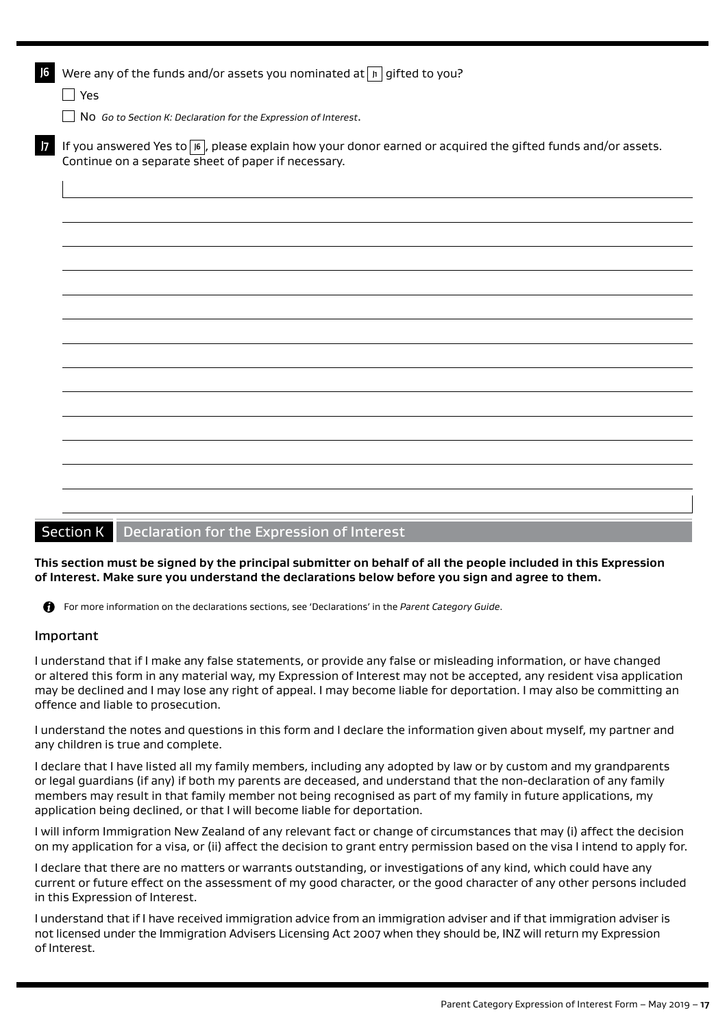| J6 | Were any of the funds and/or assets you nominated at $\lceil n \rceil$ gifted to you?                                                                                        |
|----|------------------------------------------------------------------------------------------------------------------------------------------------------------------------------|
|    | $\Box$ Yes                                                                                                                                                                   |
|    | $\Box$ No Go to Section K: Declaration for the Expression of Interest.                                                                                                       |
| 7  | If you answered Yes to $\sqrt{16}$ , please explain how your donor earned or acquired the gifted funds and/or assets.<br>Continue on a separate sheet of paper if necessary. |
|    |                                                                                                                                                                              |
|    |                                                                                                                                                                              |
|    |                                                                                                                                                                              |
|    |                                                                                                                                                                              |
|    |                                                                                                                                                                              |
|    |                                                                                                                                                                              |
|    |                                                                                                                                                                              |
|    |                                                                                                                                                                              |
|    |                                                                                                                                                                              |
|    |                                                                                                                                                                              |
|    |                                                                                                                                                                              |
|    |                                                                                                                                                                              |
|    |                                                                                                                                                                              |
|    |                                                                                                                                                                              |
|    |                                                                                                                                                                              |

# Section K Declaration for the Expression of Interest

## **This section must be signed by the principal submitter on behalf of all the people included in this Expression of Interest. Make sure you understand the declarations below before you sign and agree to them.**

For more information on the declarations sections, see 'Declarations' in the *Parent Category Guide*.

## Important

I understand that if I make any false statements, or provide any false or misleading information, or have changed or altered this form in any material way, my Expression of Interest may not be accepted, any resident visa application may be declined and I may lose any right of appeal. I may become liable for deportation. I may also be committing an offence and liable to prosecution.

I understand the notes and questions in this form and I declare the information given about myself, my partner and any children is true and complete.

I declare that I have listed all my family members, including any adopted by law or by custom and my grandparents or legal guardians (if any) if both my parents are deceased, and understand that the non-declaration of any family members may result in that family member not being recognised as part of my family in future applications, my application being declined, or that I will become liable for deportation.

I will inform Immigration New Zealand of any relevant fact or change of circumstances that may (i) affect the decision on my application for a visa, or (ii) affect the decision to grant entry permission based on the visa I intend to apply for.

I declare that there are no matters or warrants outstanding, or investigations of any kind, which could have any current or future effect on the assessment of my good character, or the good character of any other persons included in this Expression of Interest.

I understand that if I have received immigration advice from an immigration adviser and if that immigration adviser is not licensed under the Immigration Advisers Licensing Act 2007 when they should be, INZ will return my Expression of Interest.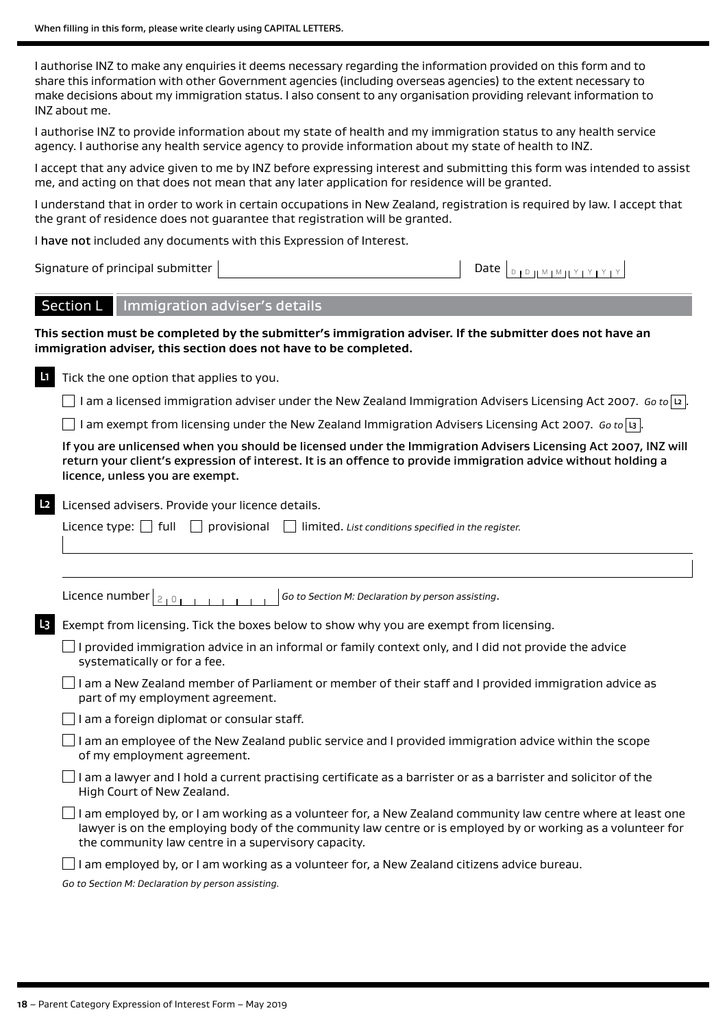I authorise INZ to make any enquiries it deems necessary regarding the information provided on this form and to share this information with other Government agencies (including overseas agencies) to the extent necessary to make decisions about my immigration status. I also consent to any organisation providing relevant information to INZ about me.

I authorise INZ to provide information about my state of health and my immigration status to any health service agency. I authorise any health service agency to provide information about my state of health to INZ.

I accept that any advice given to me by INZ before expressing interest and submitting this form was intended to assist me, and acting on that does not mean that any later application for residence will be granted.

I understand that in order to work in certain occupations in New Zealand, registration is required by law. I accept that the grant of residence does not guarantee that registration will be granted.

I have not included any documents with this Expression of Interest.

Signature of principal submitter

| нате |  |  |  | $\mathbf{1} \cup \mathbf{1} \cup \mathbf{1} \cup \mathbf{1} \cup \mathbf{1} \cup \mathbf{1} \cup \mathbf{1} \cup \mathbf{1} \cup \mathbf{1} \cup \mathbf{1} \cup \mathbf{1} \cup \mathbf{1} \cup \mathbf{1} \cup \mathbf{1} \cup \mathbf{1} \cup \mathbf{1} \cup \mathbf{1} \cup \mathbf{1} \cup \mathbf{1} \cup \mathbf{1} \cup \mathbf{1} \cup \mathbf{1} \cup \mathbf{1} \cup \mathbf{1} \cup \mathbf{1} \cup \mathbf{1} \cup \mathbf{1} \cup \mathbf{$ |  |  |  |  |  |
|------|--|--|--|------------------------------------------------------------------------------------------------------------------------------------------------------------------------------------------------------------------------------------------------------------------------------------------------------------------------------------------------------------------------------------------------------------------------------------------------------------|--|--|--|--|--|
|------|--|--|--|------------------------------------------------------------------------------------------------------------------------------------------------------------------------------------------------------------------------------------------------------------------------------------------------------------------------------------------------------------------------------------------------------------------------------------------------------------|--|--|--|--|--|

## Section L | Immigration adviser's details

**This section must be completed by the submitter's immigration adviser. If the submitter does not have an immigration adviser, this section does not have to be completed.**

**L1** Tick the one option that applies to you.

I am a licensed immigration adviser under the New Zealand Immigration Advisers Licensing Act 2007. *Go to* **L2** .

I am exempt from licensing under the New Zealand Immigration Advisers Licensing Act 2007. *Go to* **L3** .

If you are unlicensed when you should be licensed under the Immigration Advisers Licensing Act 2007, INZ will return your client's expression of interest. It is an offence to provide immigration advice without holding a licence, unless you are exempt.

#### Licensed advisers. Provide your licence details.

|    | Licence type: $\Box$<br>provisional<br>full<br>limited. List conditions specified in the register.                                                                                                                                                                              |
|----|---------------------------------------------------------------------------------------------------------------------------------------------------------------------------------------------------------------------------------------------------------------------------------|
|    |                                                                                                                                                                                                                                                                                 |
|    | Licence number $ _{2+0}$<br>Go to Section M: Declaration by person assisting.                                                                                                                                                                                                   |
| L3 | Exempt from licensing. Tick the boxes below to show why you are exempt from licensing.                                                                                                                                                                                          |
|    | I provided immigration advice in an informal or family context only, and I did not provide the advice<br>systematically or for a fee.                                                                                                                                           |
|    | am a New Zealand member of Parliament or member of their staff and I provided immigration advice as<br>part of my employment agreement.                                                                                                                                         |
|    | am a foreign diplomat or consular staff.                                                                                                                                                                                                                                        |
|    | I am an employee of the New Zealand public service and I provided immigration advice within the scope<br>of my employment agreement.                                                                                                                                            |
|    | I am a lawyer and I hold a current practising certificate as a barrister or as a barrister and solicitor of the<br>High Court of New Zealand.                                                                                                                                   |
|    | am employed by, or I am working as a volunteer for, a New Zealand community law centre where at least one<br>lawyer is on the employing body of the community law centre or is employed by or working as a volunteer for<br>the community law centre in a supervisory capacity. |
|    | am employed by, or I am working as a volunteer for, a New Zealand citizens advice bureau.                                                                                                                                                                                       |

*Go to Section M: Declaration by person assisting.*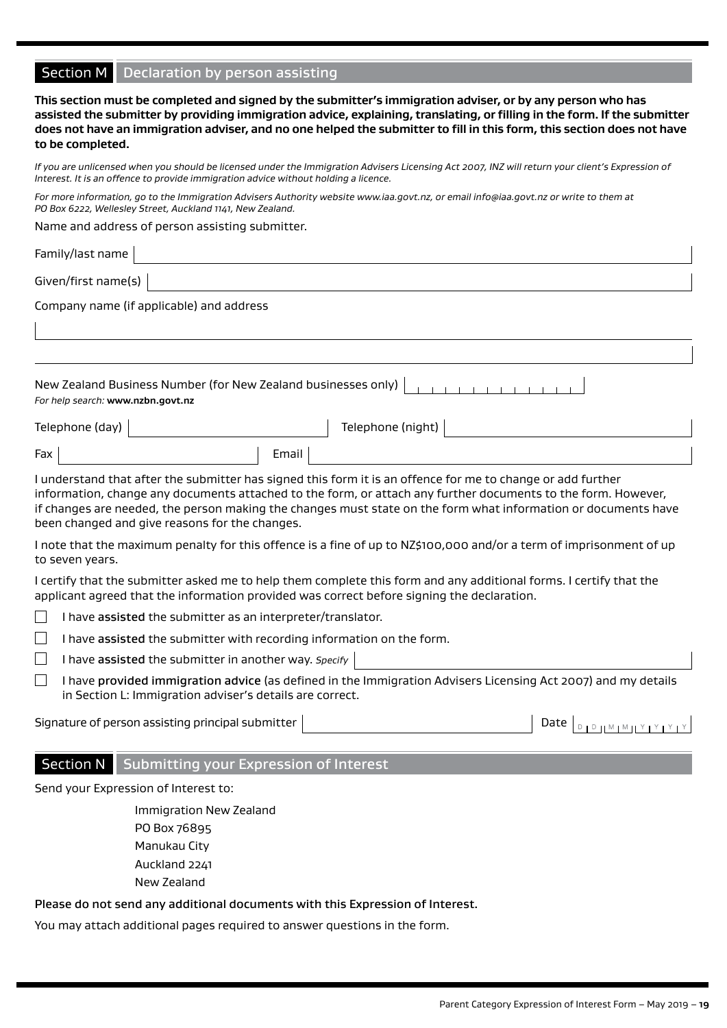| Section M   Declaration by person assisting                                                                                                                                                                                                                                                                                                                                                      |  |  |  |  |  |  |
|--------------------------------------------------------------------------------------------------------------------------------------------------------------------------------------------------------------------------------------------------------------------------------------------------------------------------------------------------------------------------------------------------|--|--|--|--|--|--|
| This section must be completed and signed by the submitter's immigration adviser, or by any person who has<br>assisted the submitter by providing immigration advice, explaining, translating, or filling in the form. If the submitter<br>does not have an immigration adviser, and no one helped the submitter to fill in this form, this section does not have<br>to be completed.            |  |  |  |  |  |  |
| If you are unlicensed when you should be licensed under the Immigration Advisers Licensing Act 2007, INZ will return your client's Expression of<br>Interest. It is an offence to provide immigration advice without holding a licence.                                                                                                                                                          |  |  |  |  |  |  |
| For more information, go to the Immigration Advisers Authority website www.iaa.govt.nz, or email info@iaa.govt.nz or write to them at<br>PO Box 6222, Wellesley Street, Auckland 1141, New Zealand.                                                                                                                                                                                              |  |  |  |  |  |  |
| Name and address of person assisting submitter.                                                                                                                                                                                                                                                                                                                                                  |  |  |  |  |  |  |
| Family/last name                                                                                                                                                                                                                                                                                                                                                                                 |  |  |  |  |  |  |
| Given/first name(s)                                                                                                                                                                                                                                                                                                                                                                              |  |  |  |  |  |  |
| Company name (if applicable) and address                                                                                                                                                                                                                                                                                                                                                         |  |  |  |  |  |  |
|                                                                                                                                                                                                                                                                                                                                                                                                  |  |  |  |  |  |  |
| New Zealand Business Number (for New Zealand businesses only)<br>For help search: www.nzbn.govt.nz                                                                                                                                                                                                                                                                                               |  |  |  |  |  |  |
| Telephone (night)<br>Telephone (day)                                                                                                                                                                                                                                                                                                                                                             |  |  |  |  |  |  |
| Email<br>Fax                                                                                                                                                                                                                                                                                                                                                                                     |  |  |  |  |  |  |
| I understand that after the submitter has signed this form it is an offence for me to change or add further<br>information, change any documents attached to the form, or attach any further documents to the form. However,<br>if changes are needed, the person making the changes must state on the form what information or documents have<br>been changed and give reasons for the changes. |  |  |  |  |  |  |
| I note that the maximum penalty for this offence is a fine of up to NZ\$100,000 and/or a term of imprisonment of up<br>to seven years.                                                                                                                                                                                                                                                           |  |  |  |  |  |  |
| I certify that the submitter asked me to help them complete this form and any additional forms. I certify that the<br>applicant agreed that the information provided was correct before signing the declaration.                                                                                                                                                                                 |  |  |  |  |  |  |
| I have assisted the submitter as an interpreter/translator.                                                                                                                                                                                                                                                                                                                                      |  |  |  |  |  |  |
| I have assisted the submitter with recording information on the form.                                                                                                                                                                                                                                                                                                                            |  |  |  |  |  |  |
| I have assisted the submitter in another way. Specify                                                                                                                                                                                                                                                                                                                                            |  |  |  |  |  |  |
| I have provided immigration advice (as defined in the Immigration Advisers Licensing Act 2007) and my details<br>in Section L: Immigration adviser's details are correct.                                                                                                                                                                                                                        |  |  |  |  |  |  |
| Signature of person assisting principal submitter<br>Date $\left[ \begin{array}{c} 0 & \text{if } \mathbb{R} \end{array} \right]$                                                                                                                                                                                                                                                                |  |  |  |  |  |  |
| <b>Section N</b><br>Submitting your Expression of Interest                                                                                                                                                                                                                                                                                                                                       |  |  |  |  |  |  |
| Send your Expression of Interest to:                                                                                                                                                                                                                                                                                                                                                             |  |  |  |  |  |  |
| Immigration New Zealand                                                                                                                                                                                                                                                                                                                                                                          |  |  |  |  |  |  |
| PO Box 76895                                                                                                                                                                                                                                                                                                                                                                                     |  |  |  |  |  |  |
| Manukau City                                                                                                                                                                                                                                                                                                                                                                                     |  |  |  |  |  |  |
| Auckland 2241                                                                                                                                                                                                                                                                                                                                                                                    |  |  |  |  |  |  |
| New Zealand                                                                                                                                                                                                                                                                                                                                                                                      |  |  |  |  |  |  |

Please do not send any additional documents with this Expression of Interest.

You may attach additional pages required to answer questions in the form.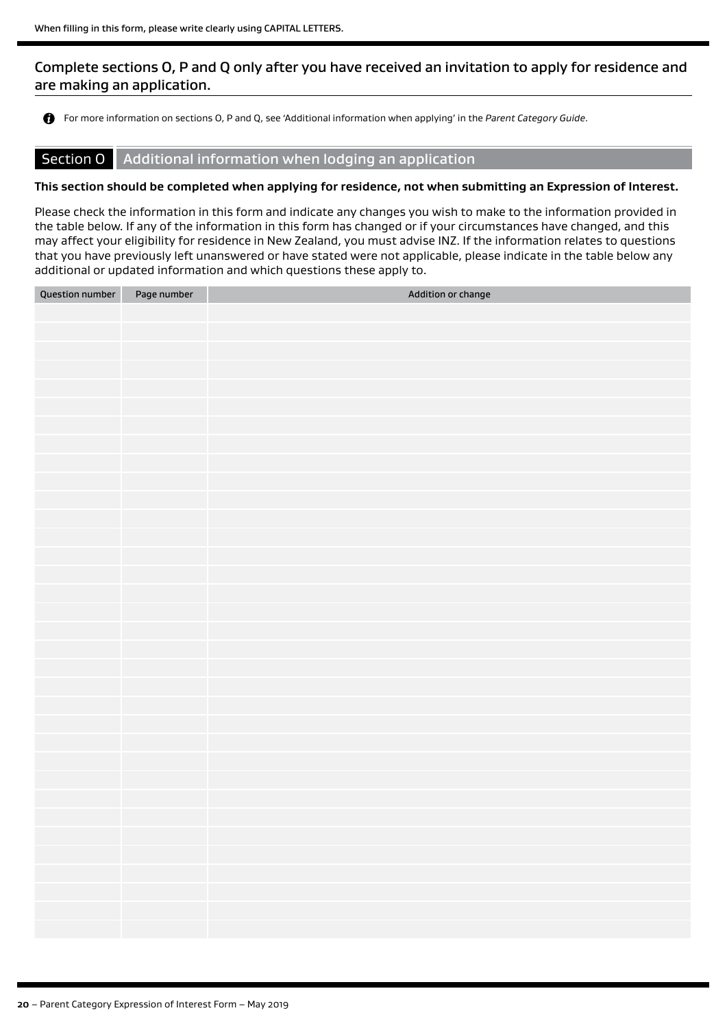# Complete sections O, P and Q only after you have received an invitation to apply for residence and are making an application.

For more information on sections O, P and Q, see 'Additional information when applying' in the *Parent Category Guide*.

### Section O Additional information when lodging an application

#### **This section should be completed when applying for residence, not when submitting an Expression of Interest.**

Please check the information in this form and indicate any changes you wish to make to the information provided in the table below. If any of the information in this form has changed or if your circumstances have changed, and this may affect your eligibility for residence in New Zealand, you must advise INZ. If the information relates to questions that you have previously left unanswered or have stated were not applicable, please indicate in the table below any additional or updated information and which questions these apply to.

| <b>Question number</b> | Page number | Addition or change |
|------------------------|-------------|--------------------|
|                        |             |                    |
|                        |             |                    |
|                        |             |                    |
|                        |             |                    |
|                        |             |                    |
|                        |             |                    |
|                        |             |                    |
|                        |             |                    |
|                        |             |                    |
|                        |             |                    |
|                        |             |                    |
|                        |             |                    |
|                        |             |                    |
|                        |             |                    |
|                        |             |                    |
|                        |             |                    |
|                        |             |                    |
|                        |             |                    |
|                        |             |                    |
|                        |             |                    |
|                        |             |                    |
|                        |             |                    |
|                        |             |                    |
|                        |             |                    |
|                        |             |                    |
|                        |             |                    |
|                        |             |                    |
|                        |             |                    |
|                        |             |                    |
|                        |             |                    |
|                        |             |                    |
|                        |             |                    |
|                        |             |                    |
|                        |             |                    |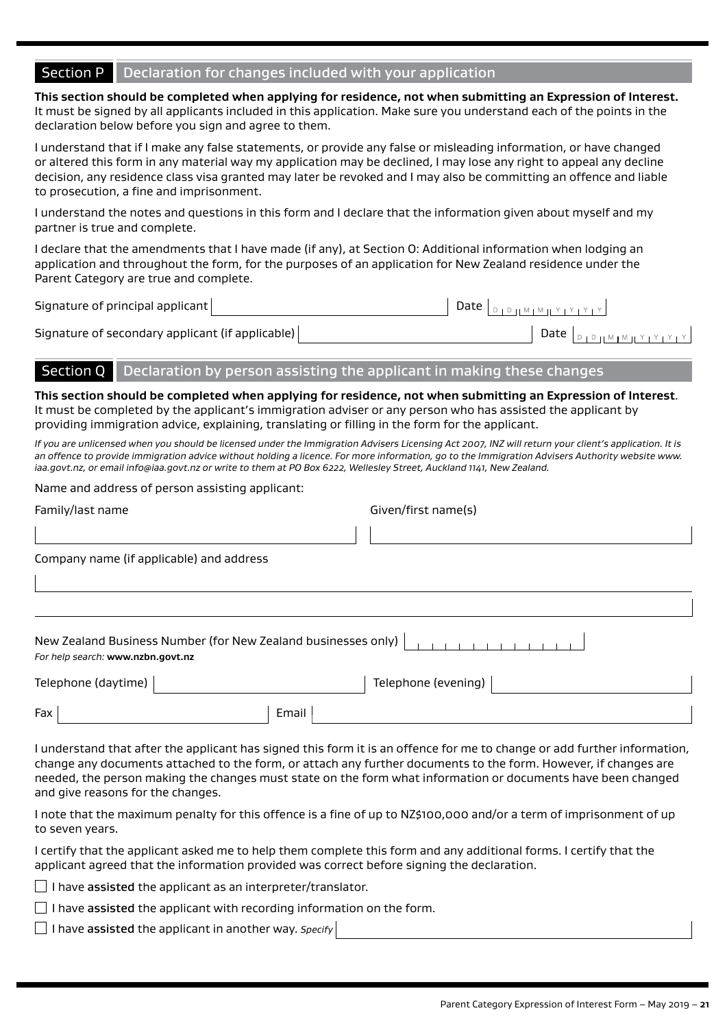# Section P Declaration for changes included with your application

**This section should be completed when applying for residence, not when submitting an Expression of Interest.**  It must be signed by all applicants included in this application. Make sure you understand each of the points in the declaration below before you sign and agree to them.

I understand that if I make any false statements, or provide any false or misleading information, or have changed or altered this form in any material way my application may be declined, I may lose any right to appeal any decline decision, any residence class visa granted may later be revoked and I may also be committing an offence and liable to prosecution, a fine and imprisonment.

I understand the notes and questions in this form and I declare that the information given about myself and my partner is true and complete.

I declare that the amendments that I have made (if any), at Section O: Additional information when lodging an application and throughout the form, for the purposes of an application for New Zealand residence under the Parent Category are true and complete.

Signature of principal applicant  $\begin{bmatrix} 1 & 0 & 0 \end{bmatrix}$ 

 $D \coprod M \coprod M \coprod Y \coprod Y \coprod Y$ 

| Signature of secondary applicant (if applicable) | Date |
|--------------------------------------------------|------|
|                                                  |      |

# Section Q Declaration by person assisting the applicant in making these changes

**This section should be completed when applying for residence, not when submitting an Expression of Interest**. It must be completed by the applicant's immigration adviser or any person who has assisted the applicant by providing immigration advice, explaining, translating or filling in the form for the applicant.

*If you are unlicensed when you should be licensed under the Immigration Advisers Licensing Act 2007, INZ will return your client's application. It is an offence to provide immigration advice without holding a licence. For more information, go to the Immigration Advisers Authority website www. iaa.govt.nz, or email info@iaa.govt.nz or write to them at PO Box 6222, Wellesley Street, Auckland 1141, New Zealand.*

#### Name and address of person assisting applicant:

| Family/last name                                                                                   |       | Given/first name(s) |  |
|----------------------------------------------------------------------------------------------------|-------|---------------------|--|
|                                                                                                    |       |                     |  |
| Company name (if applicable) and address                                                           |       |                     |  |
|                                                                                                    |       |                     |  |
|                                                                                                    |       |                     |  |
| New Zealand Business Number (for New Zealand businesses only)<br>For help search: www.nzbn.govt.nz |       |                     |  |
| Telephone (daytime)                                                                                |       | Telephone (evening) |  |
| Fax                                                                                                | Email |                     |  |

I understand that after the applicant has signed this form it is an offence for me to change or add further information, change any documents attached to the form, or attach any further documents to the form. However, if changes are needed, the person making the changes must state on the form what information or documents have been changed and give reasons for the changes.

I note that the maximum penalty for this offence is a fine of up to NZ\$100,000 and/or a term of imprisonment of up to seven years.

I certify that the applicant asked me to help them complete this form and any additional forms. I certify that the applicant agreed that the information provided was correct before signing the declaration.

 $\Box$  I have assisted the applicant as an interpreter/translator.

 $\Box$  I have assisted the applicant with recording information on the form.

I have assisted the applicant in another way. *Specify*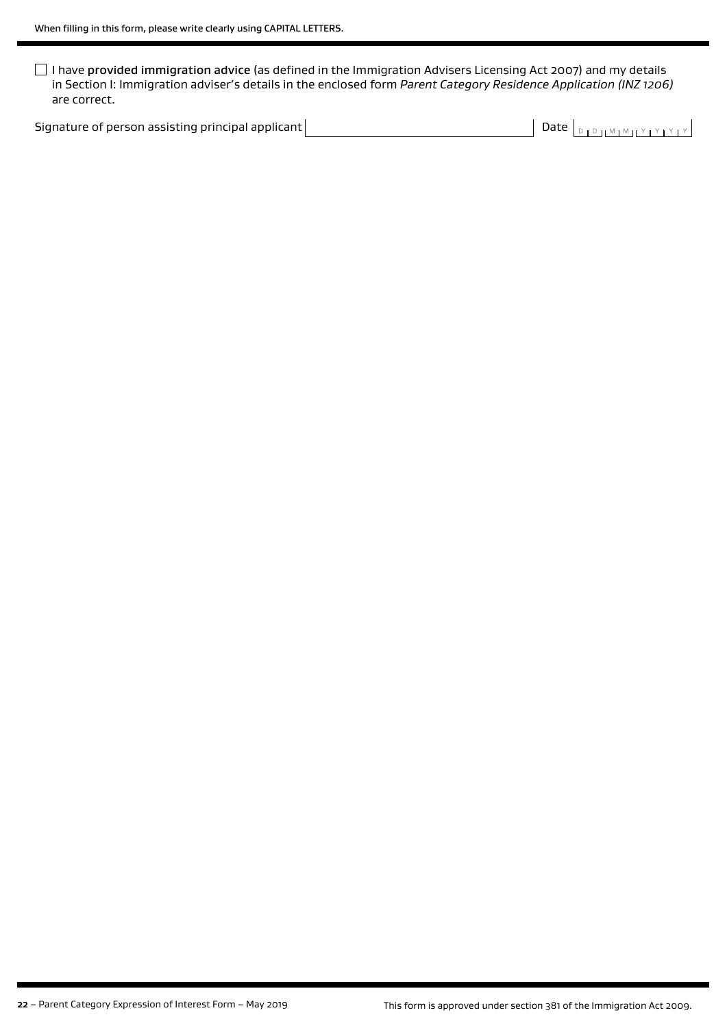I have provided immigration advice (as defined in the Immigration Advisers Licensing Act 2007) and my details in Section I: Immigration adviser's details in the enclosed form *Parent Category Residence Application (INZ 1206)* are correct.

Signature of person assisting principal applicant  $\Box$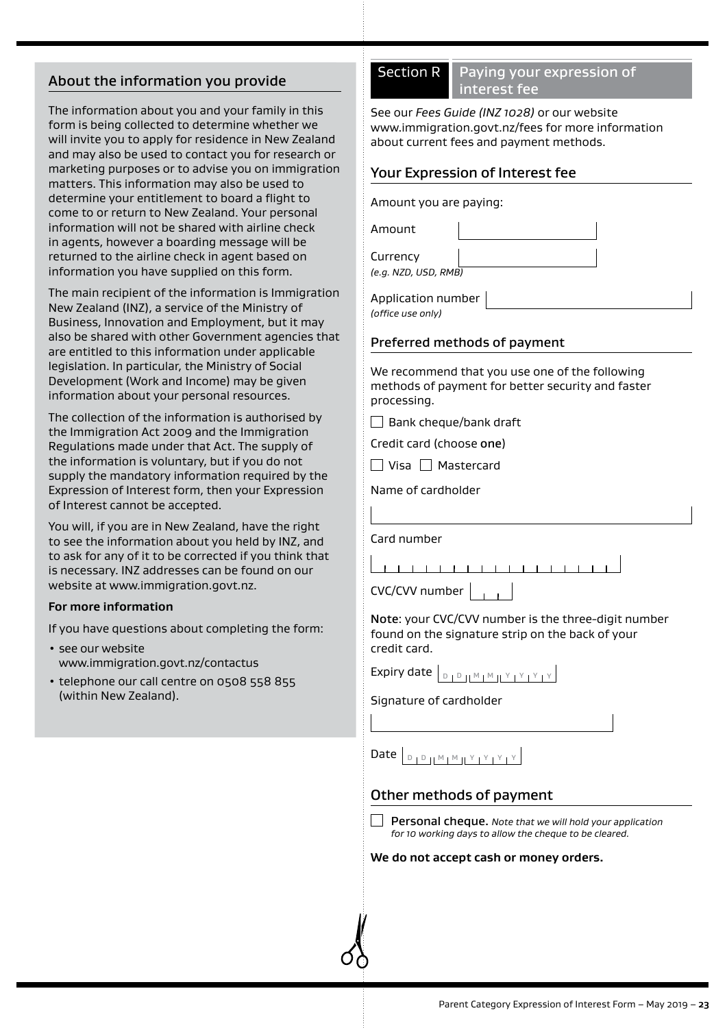# About the information you provide

The information about you and your family in this form is being collected to determine whether we will invite you to apply for residence in New Zealand and may also be used to contact you for research or marketing purposes or to advise you on immigration matters. This information may also be used to determine your entitlement to board a flight to come to or return to New Zealand. Your personal information will not be shared with airline check in agents, however a boarding message will be returned to the airline check in agent based on information you have supplied on this form.

The main recipient of the information is Immigration New Zealand (INZ), a service of the Ministry of Business, Innovation and Employment, but it may also be shared with other Government agencies that are entitled to this information under applicable legislation. In particular, the Ministry of Social Development (Work and Income) may be given information about your personal resources.

The collection of the information is authorised by the Immigration Act 2009 and the Immigration Regulations made under that Act. The supply of the information is voluntary, but if you do not supply the mandatory information required by the Expression of Interest form, then your Expression of Interest cannot be accepted.

You will, if you are in New Zealand, have the right to see the information about you held by INZ, and to ask for any of it to be corrected if you think that is necessary. INZ addresses can be found on our website at www.immigration.govt.nz.

#### **For more information**

If you have questions about completing the form:

- see our website www.immigration.govt.nz/contactus
- telephone our call centre on 0508 558 855 (within New Zealand).

# Section R Paying your expression of interest fee

See our *Fees Guide (INZ 1028)* or our website www.immigration.govt.nz/fees for more information about current fees and payment methods.

# Your Expression of Interest fee

#### Amount you are paying:

Amount Currency *(e.g. NZD, USD, RMB)*

Application number *(office use only)*

#### Preferred methods of payment

We recommend that you use one of the following methods of payment for better security and faster processing.

 $\Box$  Bank cheque/bank draft

Credit card (choose one)

 $\Box$  Visa  $\Box$  Mastercard

Name of cardholder

Card number

1 1 1 1 1 1 1 1 1 1 1 1 1 1 1 1 1 1 1

CVC/CVV number

Note: your CVC/CVV number is the three-digit number found on the signature strip on the back of your credit card.

Expiry date  $\boxed{\text{D} \parallel \text{D} \parallel \text{M} \parallel \text{M} \parallel \text{Y} \parallel \text{Y} \parallel \text{Y} \parallel \text{Y}}$ 

Signature of cardholder

Date <sup>D</sup> <sup>D</sup> <sup>M</sup> <sup>M</sup> <sup>Y</sup> <sup>Y</sup> <sup>Y</sup> <sup>Y</sup>

# Other methods of payment

Personal cheque. *Note that we will hold your application for 10 working days to allow the cheque to be cleared.*

#### **We do not accept cash or money orders.**